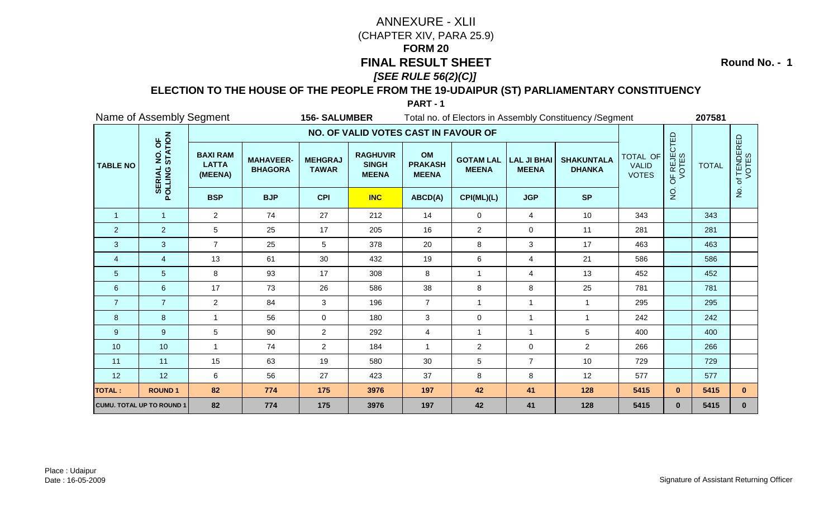**Round No. - 1**

### **ELECTION TO THE HOUSE OF THE PEOPLE FROM THE 19-UDAIPUR (ST) PARLIAMENTARY CONSTITUENCY**

|                 | Name of Assembly Segment                      |                                            |                                    | <b>156-SALUMBER</b>            |                                                 |                                      |                                  |                                    | Total no. of Electors in Assembly Constituency / Segment |                                          |                      | 207581       |                           |
|-----------------|-----------------------------------------------|--------------------------------------------|------------------------------------|--------------------------------|-------------------------------------------------|--------------------------------------|----------------------------------|------------------------------------|----------------------------------------------------------|------------------------------------------|----------------------|--------------|---------------------------|
|                 |                                               |                                            |                                    |                                | NO. OF VALID VOTES CAST IN FAVOUR OF            |                                      |                                  |                                    |                                                          |                                          |                      |              |                           |
| <b>TABLE NO</b> | NO. OF<br>STATION<br><b>SERIAL</b><br>POLLING | <b>BAXI RAM</b><br><b>LATTA</b><br>(MEENA) | <b>MAHAVEER-</b><br><b>BHAGORA</b> | <b>MEHGRAJ</b><br><b>TAWAR</b> | <b>RAGHUVIR</b><br><b>SINGH</b><br><b>MEENA</b> | OM<br><b>PRAKASH</b><br><b>MEENA</b> | <b>GOTAM LAL</b><br><b>MEENA</b> | <b>LAL JI BHAI</b><br><b>MEENA</b> | <b>SHAKUNTALA</b><br><b>DHANKA</b>                       | TOTAL OF<br><b>VALID</b><br><b>VOTES</b> | OF REJECTED<br>VOTES | <b>TOTAL</b> | f TENDERED<br>VOTES<br>'ত |
|                 |                                               | <b>BSP</b>                                 | <b>BJP</b>                         | <b>CPI</b>                     | <b>INC</b>                                      | ABCD(A)                              | CPI(ML)(L)                       | <b>JGP</b>                         | <b>SP</b>                                                |                                          | $\rm \dot{Q}$        |              | $\mathsf{P}$              |
| $\overline{1}$  | $\mathbf{1}$                                  | $\overline{2}$                             | 74                                 | 27                             | 212                                             | 14                                   | $\mathbf 0$                      | $\overline{4}$                     | 10                                                       | 343                                      |                      | 343          |                           |
| $\overline{2}$  | $\overline{2}$                                | 5                                          | 25                                 | 17                             | 205                                             | 16                                   | $\overline{2}$                   | $\mathbf 0$                        | 11                                                       | 281                                      |                      | 281          |                           |
| 3               | $\overline{3}$                                | $\overline{7}$                             | 25                                 | 5                              | 378                                             | 20                                   | 8                                | 3                                  | 17                                                       | 463                                      |                      | 463          |                           |
| $\overline{4}$  | $\overline{4}$                                | 13                                         | 61                                 | 30                             | 432                                             | 19                                   | 6                                | 4                                  | 21                                                       | 586                                      |                      | 586          |                           |
| $\overline{5}$  | $5\phantom{.0}$                               | 8                                          | 93                                 | 17                             | 308                                             | 8                                    | $\overline{1}$                   | 4                                  | 13                                                       | 452                                      |                      | 452          |                           |
| $\,6\,$         | $6\phantom{1}$                                | 17                                         | 73                                 | 26                             | 586                                             | 38                                   | 8                                | 8                                  | 25                                                       | 781                                      |                      | 781          |                           |
| $\overline{7}$  | $\overline{7}$                                | $\overline{2}$                             | 84                                 | 3                              | 196                                             | $\overline{7}$                       | $\overline{1}$                   | $\mathbf{1}$                       | -1                                                       | 295                                      |                      | 295          |                           |
| 8               | $\boldsymbol{8}$                              | $\mathbf{1}$                               | 56                                 | $\overline{0}$                 | 180                                             | $\sqrt{3}$                           | $\pmb{0}$                        | $\mathbf{1}$                       | $\mathbf{1}$                                             | 242                                      |                      | 242          |                           |
| 9               | 9                                             | 5                                          | 90                                 | $\overline{2}$                 | 292                                             | $\overline{4}$                       | $\mathbf{1}$                     | $\mathbf{1}$                       | 5                                                        | 400                                      |                      | 400          |                           |
| 10              | 10                                            | $\mathbf{1}$                               | 74                                 | $\overline{2}$                 | 184                                             | $\overline{1}$                       | $\overline{c}$                   | 0                                  | $\overline{2}$                                           | 266                                      |                      | 266          |                           |
| 11              | 11                                            | 15                                         | 63                                 | 19                             | 580                                             | 30                                   | 5                                | $\overline{7}$                     | 10                                                       | 729                                      |                      | 729          |                           |
| 12              | 12                                            | 6                                          | 56                                 | 27                             | 423                                             | 37                                   | 8                                | 8                                  | 12                                                       | 577                                      |                      | 577          |                           |
| <b>TOTAL:</b>   | <b>ROUND1</b>                                 | 82                                         | 774                                | 175                            | 3976                                            | 197                                  | 42                               | 41                                 | 128                                                      | 5415                                     | $\mathbf{0}$         | 5415         | $\mathbf{0}$              |
|                 | <b>CUMU. TOTAL UP TO ROUND 1</b>              | 82                                         | 774                                | 175                            | 3976                                            | 197                                  | 42                               | 41                                 | 128                                                      | 5415                                     | $\mathbf{0}$         | 5415         | $\mathbf{0}$              |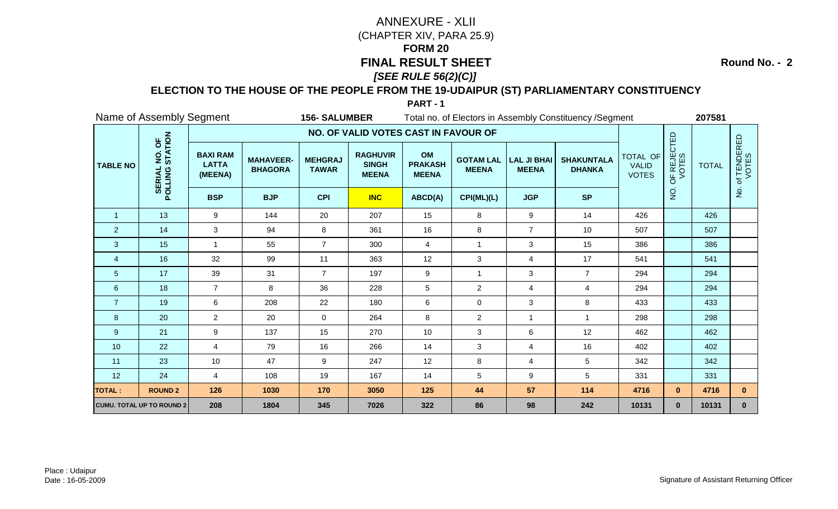**Round No. - 2**

### **ELECTION TO THE HOUSE OF THE PEOPLE FROM THE 19-UDAIPUR (ST) PARLIAMENTARY CONSTITUENCY**

|                 | Name of Assembly Segment                      |                                            |                                    | <b>156-SALUMBER</b>            |                                                 |                                      |                                  |                                    | Total no. of Electors in Assembly Constituency / Segment |                                          |                      | 207581       |                           |
|-----------------|-----------------------------------------------|--------------------------------------------|------------------------------------|--------------------------------|-------------------------------------------------|--------------------------------------|----------------------------------|------------------------------------|----------------------------------------------------------|------------------------------------------|----------------------|--------------|---------------------------|
|                 |                                               |                                            |                                    |                                | NO. OF VALID VOTES CAST IN FAVOUR OF            |                                      |                                  |                                    |                                                          |                                          |                      |              |                           |
| <b>TABLE NO</b> | NO. OF<br>STATION<br><b>SERIAL</b><br>POLLING | <b>BAXI RAM</b><br><b>LATTA</b><br>(MEENA) | <b>MAHAVEER-</b><br><b>BHAGORA</b> | <b>MEHGRAJ</b><br><b>TAWAR</b> | <b>RAGHUVIR</b><br><b>SINGH</b><br><b>MEENA</b> | OM<br><b>PRAKASH</b><br><b>MEENA</b> | <b>GOTAM LAL</b><br><b>MEENA</b> | <b>LAL JI BHAI</b><br><b>MEENA</b> | <b>SHAKUNTALA</b><br><b>DHANKA</b>                       | TOTAL OF<br><b>VALID</b><br><b>VOTES</b> | OF REJECTED<br>VOTES | <b>TOTAL</b> | f TENDERED<br>VOTES<br>'ਠ |
|                 |                                               | <b>BSP</b>                                 | <b>BJP</b>                         | <b>CPI</b>                     | <b>INC</b>                                      | ABCD(A)                              | CPI(ML)(L)                       | <b>JGP</b>                         | <b>SP</b>                                                |                                          | $\rm \dot{Q}$        |              | $\mathsf{P}$              |
| $\overline{1}$  | 13                                            | 9                                          | 144                                | 20                             | 207                                             | 15                                   | 8                                | 9                                  | 14                                                       | 426                                      |                      | 426          |                           |
| $\overline{2}$  | 14                                            | 3                                          | 94                                 | 8                              | 361                                             | 16                                   | $\bf 8$                          | $\overline{7}$                     | 10                                                       | 507                                      |                      | 507          |                           |
| 3               | 15                                            | $\mathbf{1}$                               | 55                                 | $\overline{7}$                 | 300                                             | $\overline{4}$                       | $\overline{1}$                   | 3                                  | 15                                                       | 386                                      |                      | 386          |                           |
| $\overline{4}$  | 16                                            | 32                                         | 99                                 | 11                             | 363                                             | 12                                   | 3                                | 4                                  | 17                                                       | 541                                      |                      | 541          |                           |
| 5               | 17                                            | 39                                         | 31                                 | $\overline{7}$                 | 197                                             | 9                                    | $\overline{1}$                   | 3                                  | $\overline{7}$                                           | 294                                      |                      | 294          |                           |
| $\,6\,$         | 18                                            | $\overline{7}$                             | 8                                  | 36                             | 228                                             | $\sqrt{5}$                           | $\overline{2}$                   | 4                                  | $\overline{\mathbf{4}}$                                  | 294                                      |                      | 294          |                           |
| $\overline{7}$  | 19                                            | 6                                          | 208                                | 22                             | 180                                             | $\,6$                                | 0                                | 3                                  | 8                                                        | 433                                      |                      | 433          |                           |
| 8               | 20                                            | $\overline{2}$                             | 20                                 | $\overline{0}$                 | 264                                             | 8                                    | $\overline{c}$                   | $\mathbf{1}$                       | $\mathbf{1}$                                             | 298                                      |                      | 298          |                           |
| 9               | 21                                            | 9                                          | 137                                | 15                             | 270                                             | 10                                   | 3                                | 6                                  | 12                                                       | 462                                      |                      | 462          |                           |
| 10              | 22                                            | $\overline{4}$                             | 79                                 | 16                             | 266                                             | 14                                   | 3                                | 4                                  | 16                                                       | 402                                      |                      | 402          |                           |
| 11              | 23                                            | 10                                         | 47                                 | 9                              | 247                                             | 12                                   | 8                                | 4                                  | 5                                                        | 342                                      |                      | 342          |                           |
| 12              | 24                                            | $\overline{4}$                             | 108                                | 19                             | 167                                             | 14                                   | 5                                | 9                                  | 5                                                        | 331                                      |                      | 331          |                           |
| <b>TOTAL:</b>   | <b>ROUND 2</b>                                | 126                                        | 1030                               | 170                            | 3050                                            | 125                                  | 44                               | 57                                 | 114                                                      | 4716                                     | $\mathbf{0}$         | 4716         | $\mathbf{0}$              |
|                 | <b>CUMU. TOTAL UP TO ROUND 2</b>              | 208                                        | 1804                               | 345                            | 7026                                            | 322                                  | 86                               | 98                                 | 242                                                      | 10131                                    | $\mathbf{0}$         | 10131        | $\mathbf{0}$              |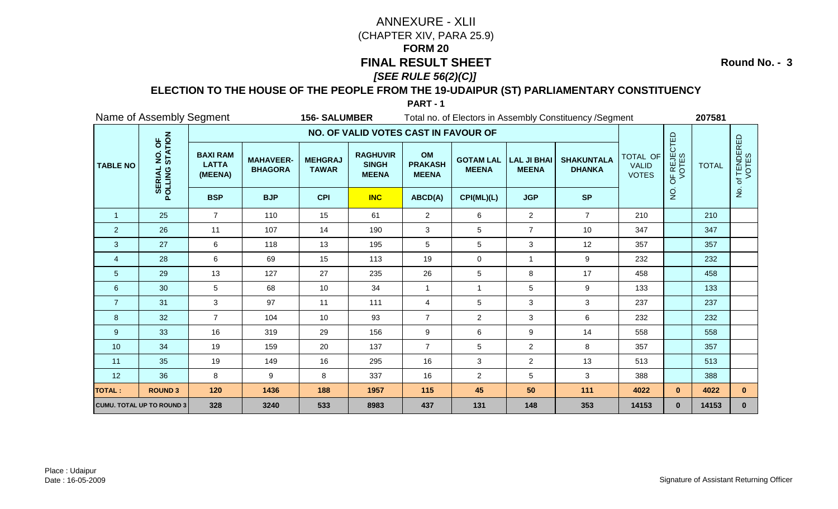**Round No. - 3**

### **ELECTION TO THE HOUSE OF THE PEOPLE FROM THE 19-UDAIPUR (ST) PARLIAMENTARY CONSTITUENCY**

|                 | Name of Assembly Segment         |                                            |                                    | <b>156- SALUMBER</b>           |                                                 |                                      |                                  |                                    | Total no. of Electors in Assembly Constituency / Segment |                                          |                      | 207581       |                      |
|-----------------|----------------------------------|--------------------------------------------|------------------------------------|--------------------------------|-------------------------------------------------|--------------------------------------|----------------------------------|------------------------------------|----------------------------------------------------------|------------------------------------------|----------------------|--------------|----------------------|
|                 |                                  |                                            |                                    |                                | NO. OF VALID VOTES CAST IN FAVOUR OF            |                                      |                                  |                                    |                                                          |                                          |                      |              |                      |
| <b>TABLE NO</b> | NO. OF<br>STATION<br>POLLING     | <b>BAXI RAM</b><br><b>LATTA</b><br>(MEENA) | <b>MAHAVEER-</b><br><b>BHAGORA</b> | <b>MEHGRAJ</b><br><b>TAWAR</b> | <b>RAGHUVIR</b><br><b>SINGH</b><br><b>MEENA</b> | OM<br><b>PRAKASH</b><br><b>MEENA</b> | <b>GOTAM LAL</b><br><b>MEENA</b> | <b>LAL JI BHAI</b><br><b>MEENA</b> | <b>SHAKUNTALA</b><br><b>DHANKA</b>                       | TOTAL OF<br><b>VALID</b><br><b>VOTES</b> | OF REJECTED<br>VOTES | <b>TOTAL</b> | of TENDERED<br>VOTES |
|                 |                                  | <b>BSP</b>                                 | <b>BJP</b>                         | <b>CPI</b>                     | <b>INC</b>                                      | ABCD(A)                              | CPI(ML)(L)                       | <b>JGP</b>                         | <b>SP</b>                                                |                                          | $\frac{1}{2}$        |              | $\frac{1}{2}$        |
| $\overline{1}$  | 25                               | $\overline{7}$                             | 110                                | 15                             | 61                                              | $\overline{c}$                       | 6                                | $\overline{2}$                     | $\overline{7}$                                           | 210                                      |                      | 210          |                      |
| 2               | 26                               | 11                                         | 107                                | 14                             | 190                                             | $\sqrt{3}$                           | 5                                | $\overline{7}$                     | 10                                                       | 347                                      |                      | 347          |                      |
| 3               | 27                               | 6                                          | 118                                | 13                             | 195                                             | 5                                    | 5                                | 3                                  | 12                                                       | 357                                      |                      | 357          |                      |
| $\overline{4}$  | 28                               | 6                                          | 69                                 | 15                             | 113                                             | 19                                   | 0                                | $\mathbf{1}$                       | 9                                                        | 232                                      |                      | 232          |                      |
| $\overline{5}$  | 29                               | 13                                         | 127                                | 27                             | 235                                             | 26                                   | 5                                | 8                                  | 17                                                       | 458                                      |                      | 458          |                      |
| $\,6\,$         | 30                               | 5                                          | 68                                 | 10                             | 34                                              | $\overline{1}$                       | $\mathbf{1}$                     | 5                                  | $\boldsymbol{9}$                                         | 133                                      |                      | 133          |                      |
| $\overline{7}$  | 31                               | 3                                          | 97                                 | 11                             | 111                                             | $\overline{4}$                       | 5                                | 3                                  | $\mathbf 3$                                              | 237                                      |                      | 237          |                      |
| 8               | 32                               | $\overline{7}$                             | 104                                | 10                             | 93                                              | $\overline{7}$                       | $\overline{c}$                   | 3                                  | 6                                                        | 232                                      |                      | 232          |                      |
| 9               | 33                               | 16                                         | 319                                | 29                             | 156                                             | $9\,$                                | 6                                | 9                                  | 14                                                       | 558                                      |                      | 558          |                      |
| 10              | 34                               | 19                                         | 159                                | 20                             | 137                                             | $\overline{7}$                       | 5                                | $\overline{a}$                     | 8                                                        | 357                                      |                      | 357          |                      |
| 11              | 35                               | 19                                         | 149                                | 16                             | 295                                             | 16                                   | $\ensuremath{\mathsf{3}}$        | $\overline{a}$                     | 13                                                       | 513                                      |                      | 513          |                      |
| 12              | 36                               | 8                                          | 9                                  | 8                              | 337                                             | 16                                   | $\overline{c}$                   | 5                                  | $\mathbf 3$                                              | 388                                      |                      | 388          |                      |
| <b>TOTAL:</b>   | <b>ROUND 3</b>                   | 120                                        | 1436                               | 188                            | 1957                                            | 115                                  | 45                               | 50                                 | 111                                                      | 4022                                     | $\mathbf{0}$         | 4022         | $\mathbf{0}$         |
|                 | <b>CUMU. TOTAL UP TO ROUND 3</b> | 328                                        | 3240                               | 533                            | 8983                                            | 437                                  | 131                              | 148                                | 353                                                      | 14153                                    | $\mathbf{0}$         | 14153        | $\mathbf{0}$         |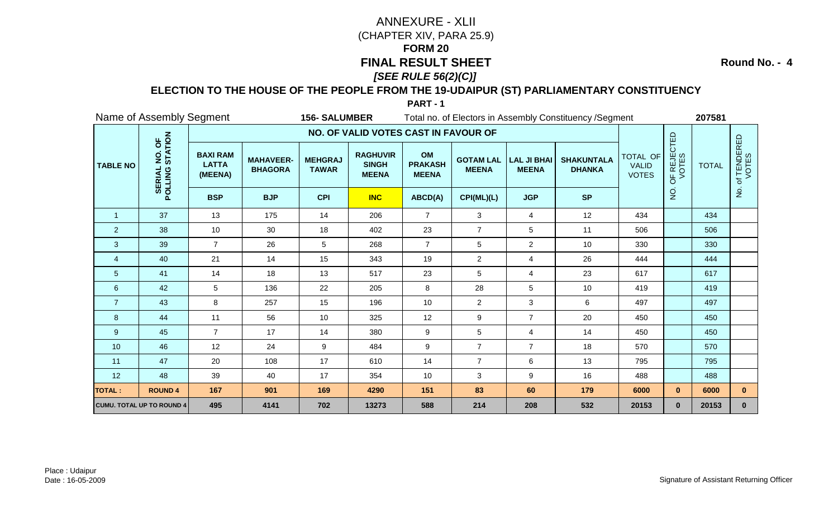**Round No. - 4**

### **ELECTION TO THE HOUSE OF THE PEOPLE FROM THE 19-UDAIPUR (ST) PARLIAMENTARY CONSTITUENCY**

|                 | Name of Assembly Segment                      |                                            |                                    | <b>156-SALUMBER</b>            |                                                 |                                      |                                  |                                    | Total no. of Electors in Assembly Constituency / Segment |                                          |                      | 207581       |                           |
|-----------------|-----------------------------------------------|--------------------------------------------|------------------------------------|--------------------------------|-------------------------------------------------|--------------------------------------|----------------------------------|------------------------------------|----------------------------------------------------------|------------------------------------------|----------------------|--------------|---------------------------|
|                 |                                               |                                            |                                    |                                | NO. OF VALID VOTES CAST IN FAVOUR OF            |                                      |                                  |                                    |                                                          |                                          |                      |              |                           |
| <b>TABLE NO</b> | NO. OF<br>STATION<br><b>SERIAL</b><br>POLLING | <b>BAXI RAM</b><br><b>LATTA</b><br>(MEENA) | <b>MAHAVEER-</b><br><b>BHAGORA</b> | <b>MEHGRAJ</b><br><b>TAWAR</b> | <b>RAGHUVIR</b><br><b>SINGH</b><br><b>MEENA</b> | OM<br><b>PRAKASH</b><br><b>MEENA</b> | <b>GOTAM LAL</b><br><b>MEENA</b> | <b>LAL JI BHAI</b><br><b>MEENA</b> | <b>SHAKUNTALA</b><br><b>DHANKA</b>                       | TOTAL OF<br><b>VALID</b><br><b>VOTES</b> | OF REJECTED<br>VOTES | <b>TOTAL</b> | f TENDERED<br>VOTES<br>'ত |
|                 |                                               | <b>BSP</b>                                 | <b>BJP</b>                         | <b>CPI</b>                     | <b>INC</b>                                      | ABCD(A)                              | CPI(ML)(L)                       | <b>JGP</b>                         | <b>SP</b>                                                |                                          | $\rm \dot{Q}$        |              | $\mathsf{P}$              |
| $\overline{1}$  | 37                                            | 13                                         | 175                                | 14                             | 206                                             | $\overline{7}$                       | 3                                | $\overline{4}$                     | 12                                                       | 434                                      |                      | 434          |                           |
| $\overline{2}$  | 38                                            | 10                                         | 30                                 | 18                             | 402                                             | 23                                   | $\overline{7}$                   | 5                                  | 11                                                       | 506                                      |                      | 506          |                           |
| 3               | 39                                            | $\overline{7}$                             | 26                                 | 5                              | 268                                             | $\overline{7}$                       | 5                                | $\overline{2}$                     | 10                                                       | 330                                      |                      | 330          |                           |
| $\overline{4}$  | 40                                            | 21                                         | 14                                 | 15                             | 343                                             | 19                                   | $\overline{2}$                   | 4                                  | 26                                                       | 444                                      |                      | 444          |                           |
| 5               | 41                                            | 14                                         | 18                                 | 13                             | 517                                             | 23                                   | 5                                | 4                                  | 23                                                       | 617                                      |                      | 617          |                           |
| $\,6\,$         | 42                                            | 5                                          | 136                                | 22                             | 205                                             | 8                                    | 28                               | 5                                  | 10                                                       | 419                                      |                      | 419          |                           |
| $\overline{7}$  | 43                                            | 8                                          | 257                                | 15                             | 196                                             | 10                                   | $\overline{2}$                   | 3                                  | 6                                                        | 497                                      |                      | 497          |                           |
| 8               | 44                                            | 11                                         | 56                                 | 10                             | 325                                             | 12                                   | 9                                | $\overline{7}$                     | 20                                                       | 450                                      |                      | 450          |                           |
| 9               | 45                                            | $\overline{7}$                             | 17                                 | 14                             | 380                                             | 9                                    | 5                                | 4                                  | 14                                                       | 450                                      |                      | 450          |                           |
| 10              | 46                                            | 12                                         | 24                                 | 9                              | 484                                             | 9                                    | $\overline{7}$                   | $\overline{7}$                     | 18                                                       | 570                                      |                      | 570          |                           |
| 11              | 47                                            | 20                                         | 108                                | 17                             | 610                                             | 14                                   | $\overline{7}$                   | 6                                  | 13                                                       | 795                                      |                      | 795          |                           |
| 12              | 48                                            | 39                                         | 40                                 | 17                             | 354                                             | 10                                   | $\mathbf{3}$                     | 9                                  | 16                                                       | 488                                      |                      | 488          |                           |
| <b>TOTAL:</b>   | <b>ROUND 4</b>                                | 167                                        | 901                                | 169                            | 4290                                            | 151                                  | 83                               | 60                                 | 179                                                      | 6000                                     | $\mathbf{0}$         | 6000         | $\mathbf{0}$              |
|                 | <b>CUMU. TOTAL UP TO ROUND 4</b>              | 495                                        | 4141                               | 702                            | 13273                                           | 588                                  | 214                              | 208                                | 532                                                      | 20153                                    | $\mathbf{0}$         | 20153        | $\mathbf{0}$              |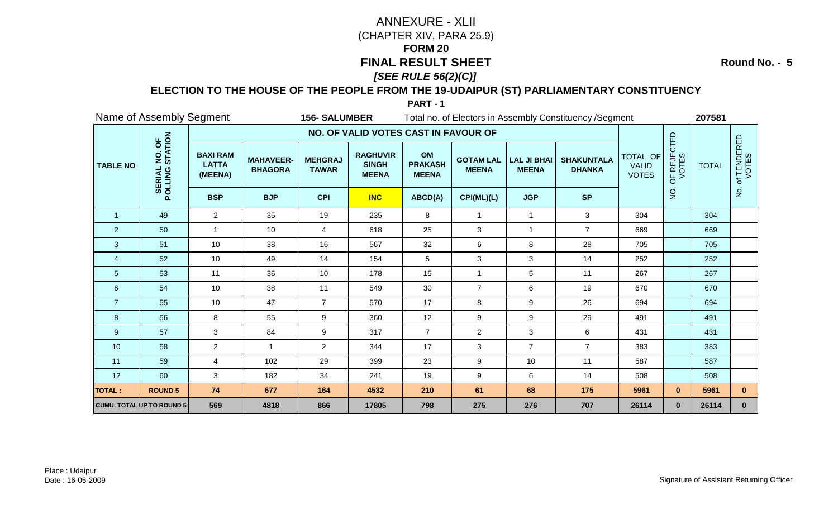**Round No. - 5**

### **ELECTION TO THE HOUSE OF THE PEOPLE FROM THE 19-UDAIPUR (ST) PARLIAMENTARY CONSTITUENCY**

|                 | Name of Assembly Segment                      |                                            |                                    | <b>156-SALUMBER</b>            |                                                 |                                      |                                  |                                    | Total no. of Electors in Assembly Constituency / Segment |                                          |                      | 207581       |                           |
|-----------------|-----------------------------------------------|--------------------------------------------|------------------------------------|--------------------------------|-------------------------------------------------|--------------------------------------|----------------------------------|------------------------------------|----------------------------------------------------------|------------------------------------------|----------------------|--------------|---------------------------|
|                 |                                               |                                            |                                    |                                | NO. OF VALID VOTES CAST IN FAVOUR OF            |                                      |                                  |                                    |                                                          |                                          |                      |              |                           |
| <b>TABLE NO</b> | NO. OF<br>STATION<br><b>SERIAL</b><br>POLLING | <b>BAXI RAM</b><br><b>LATTA</b><br>(MEENA) | <b>MAHAVEER-</b><br><b>BHAGORA</b> | <b>MEHGRAJ</b><br><b>TAWAR</b> | <b>RAGHUVIR</b><br><b>SINGH</b><br><b>MEENA</b> | OM<br><b>PRAKASH</b><br><b>MEENA</b> | <b>GOTAM LAL</b><br><b>MEENA</b> | <b>LAL JI BHAI</b><br><b>MEENA</b> | <b>SHAKUNTALA</b><br><b>DHANKA</b>                       | TOTAL OF<br><b>VALID</b><br><b>VOTES</b> | OF REJECTED<br>VOTES | <b>TOTAL</b> | f TENDERED<br>VOTES<br>'ਠ |
|                 |                                               | <b>BSP</b>                                 | <b>BJP</b>                         | <b>CPI</b>                     | <b>INC</b>                                      | ABCD(A)                              | CPI(ML)(L)                       | <b>JGP</b>                         | <b>SP</b>                                                |                                          | $\rm \dot{Q}$        |              | $\mathsf{P}$              |
| $\overline{1}$  | 49                                            | $\overline{2}$                             | 35                                 | 19                             | 235                                             | 8                                    | $\mathbf{1}$                     | $\mathbf{1}$                       | 3                                                        | 304                                      |                      | 304          |                           |
| $\overline{2}$  | 50                                            | $\mathbf{1}$                               | 10                                 | $\overline{4}$                 | 618                                             | 25                                   | $\mathfrak{S}$                   | 1                                  | $\overline{7}$                                           | 669                                      |                      | 669          |                           |
| 3               | 51                                            | 10                                         | 38                                 | 16                             | 567                                             | 32                                   | 6                                | 8                                  | 28                                                       | 705                                      |                      | 705          |                           |
| $\overline{4}$  | 52                                            | 10                                         | 49                                 | 14                             | 154                                             | 5                                    | 3                                | 3                                  | 14                                                       | 252                                      |                      | 252          |                           |
| 5               | 53                                            | 11                                         | 36                                 | 10                             | 178                                             | 15                                   | $\overline{1}$                   | 5                                  | 11                                                       | 267                                      |                      | 267          |                           |
| $\,6\,$         | 54                                            | 10                                         | 38                                 | 11                             | 549                                             | 30                                   | $\overline{7}$                   | 6                                  | 19                                                       | 670                                      |                      | 670          |                           |
| $\overline{7}$  | 55                                            | 10                                         | 47                                 | $\overline{7}$                 | 570                                             | 17                                   | 8                                | 9                                  | 26                                                       | 694                                      |                      | 694          |                           |
| 8               | 56                                            | 8                                          | 55                                 | 9                              | 360                                             | 12                                   | 9                                | 9                                  | 29                                                       | 491                                      |                      | 491          |                           |
| 9               | 57                                            | 3                                          | 84                                 | 9                              | 317                                             | $\overline{7}$                       | $\overline{c}$                   | 3                                  | 6                                                        | 431                                      |                      | 431          |                           |
| 10              | 58                                            | $\overline{a}$                             | $\overline{1}$                     | $\overline{2}$                 | 344                                             | 17                                   | 3                                | $\overline{7}$                     | $\overline{7}$                                           | 383                                      |                      | 383          |                           |
| 11              | 59                                            | $\overline{4}$                             | 102                                | 29                             | 399                                             | 23                                   | 9                                | 10                                 | 11                                                       | 587                                      |                      | 587          |                           |
| 12              | 60                                            | 3                                          | 182                                | 34                             | 241                                             | 19                                   | 9                                | 6                                  | 14                                                       | 508                                      |                      | 508          |                           |
| <b>TOTAL:</b>   | <b>ROUND 5</b>                                | 74                                         | 677                                | 164                            | 4532                                            | 210                                  | 61                               | 68                                 | 175                                                      | 5961                                     | $\mathbf{0}$         | 5961         | $\mathbf{0}$              |
|                 | <b>CUMU. TOTAL UP TO ROUND 5</b>              | 569                                        | 4818                               | 866                            | 17805                                           | 798                                  | 275                              | 276                                | 707                                                      | 26114                                    | $\mathbf{0}$         | 26114        | $\mathbf{0}$              |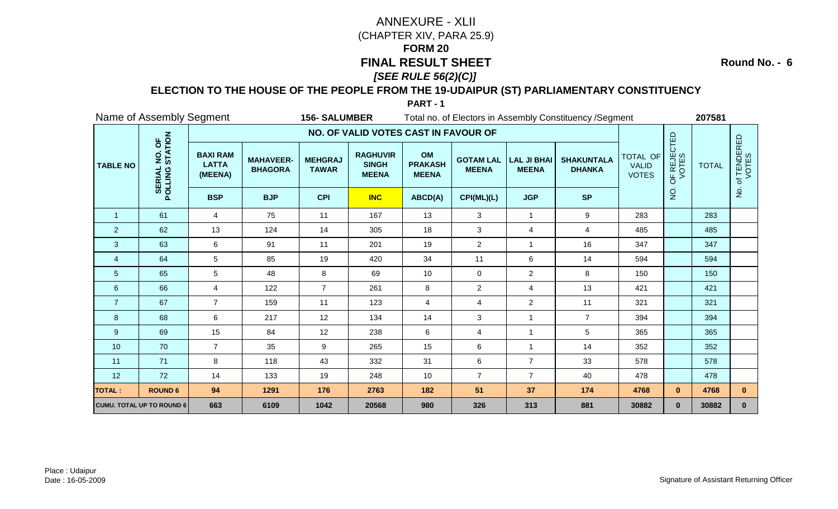**Round No. - 6**

### **ELECTION TO THE HOUSE OF THE PEOPLE FROM THE 19-UDAIPUR (ST) PARLIAMENTARY CONSTITUENCY**

|                 | Name of Assembly Segment                      |                                            |                                    | <b>156- SALUMBER</b>           |                                                 |                                      |                                  |                                    | Total no. of Electors in Assembly Constituency / Segment |                                          |                      | 207581       |                      |
|-----------------|-----------------------------------------------|--------------------------------------------|------------------------------------|--------------------------------|-------------------------------------------------|--------------------------------------|----------------------------------|------------------------------------|----------------------------------------------------------|------------------------------------------|----------------------|--------------|----------------------|
|                 |                                               |                                            |                                    |                                | NO. OF VALID VOTES CAST IN FAVOUR OF            |                                      |                                  |                                    |                                                          |                                          |                      |              |                      |
| <b>TABLE NO</b> | NO. OF<br>STATION<br><b>SERIAL</b><br>POLLING | <b>BAXI RAM</b><br><b>LATTA</b><br>(MEENA) | <b>MAHAVEER-</b><br><b>BHAGORA</b> | <b>MEHGRAJ</b><br><b>TAWAR</b> | <b>RAGHUVIR</b><br><b>SINGH</b><br><b>MEENA</b> | OM<br><b>PRAKASH</b><br><b>MEENA</b> | <b>GOTAM LAL</b><br><b>MEENA</b> | <b>LAL JI BHAI</b><br><b>MEENA</b> | <b>SHAKUNTALA</b><br><b>DHANKA</b>                       | TOTAL OF<br><b>VALID</b><br><b>VOTES</b> | OF REJECTED<br>VOTES | <b>TOTAL</b> | of TENDERED<br>VOTES |
|                 |                                               | <b>BSP</b>                                 | <b>BJP</b>                         | <b>CPI</b>                     | <b>INC</b>                                      | ABCD(A)                              | CPI(ML)(L)                       | <b>JGP</b>                         | <b>SP</b>                                                |                                          | $\frac{1}{2}$        |              | $rac{1}{2}$          |
| $\overline{1}$  | 61                                            | $\overline{4}$                             | 75                                 | 11                             | 167                                             | 13                                   | 3                                | $\mathbf{1}$                       | $\boldsymbol{9}$                                         | 283                                      |                      | 283          |                      |
| $\overline{2}$  | 62                                            | 13                                         | 124                                | 14                             | 305                                             | 18                                   | 3                                | 4                                  | 4                                                        | 485                                      |                      | 485          |                      |
| 3               | 63                                            | 6                                          | 91                                 | 11                             | 201                                             | 19                                   | $\overline{c}$                   | $\mathbf{1}$                       | 16                                                       | 347                                      |                      | 347          |                      |
| $\overline{4}$  | 64                                            | 5                                          | 85                                 | 19                             | 420                                             | 34                                   | 11                               | 6                                  | 14                                                       | 594                                      |                      | 594          |                      |
| 5               | 65                                            | 5                                          | 48                                 | 8                              | 69                                              | 10                                   | $\mathbf 0$                      | $\overline{a}$                     | 8                                                        | 150                                      |                      | 150          |                      |
| 6               | 66                                            | $\overline{4}$                             | 122                                | $\overline{7}$                 | 261                                             | 8                                    | $\overline{c}$                   | 4                                  | 13                                                       | 421                                      |                      | 421          |                      |
| $\overline{7}$  | 67                                            | $\overline{7}$                             | 159                                | 11                             | 123                                             | $\overline{4}$                       | 4                                | $\overline{a}$                     | 11                                                       | 321                                      |                      | 321          |                      |
| 8               | 68                                            | 6                                          | 217                                | 12                             | 134                                             | 14                                   | 3                                | $\mathbf{1}$                       | $\overline{7}$                                           | 394                                      |                      | 394          |                      |
| 9               | 69                                            | 15                                         | 84                                 | 12                             | 238                                             | 6                                    | 4                                | $\mathbf{1}$                       | 5                                                        | 365                                      |                      | 365          |                      |
| 10              | 70                                            | $\overline{7}$                             | 35                                 | 9                              | 265                                             | 15                                   | 6                                | $\mathbf{1}$                       | 14                                                       | 352                                      |                      | 352          |                      |
| 11              | 71                                            | 8                                          | 118                                | 43                             | 332                                             | 31                                   | 6                                | $\overline{7}$                     | 33                                                       | 578                                      |                      | 578          |                      |
| 12              | 72                                            | 14                                         | 133                                | 19                             | 248                                             | 10                                   | $\overline{7}$                   | $\overline{7}$                     | 40                                                       | 478                                      |                      | 478          |                      |
| <b>TOTAL:</b>   | <b>ROUND 6</b>                                | 94                                         | 1291                               | 176                            | 2763                                            | 182                                  | 51                               | 37                                 | 174                                                      | 4768                                     | $\mathbf{0}$         | 4768         | $\mathbf{0}$         |
|                 | <b>CUMU. TOTAL UP TO ROUND 6</b>              | 663                                        | 6109                               | 1042                           | 20568                                           | 980                                  | 326                              | 313                                | 881                                                      | 30882                                    | $\mathbf{0}$         | 30882        | $\mathbf{0}$         |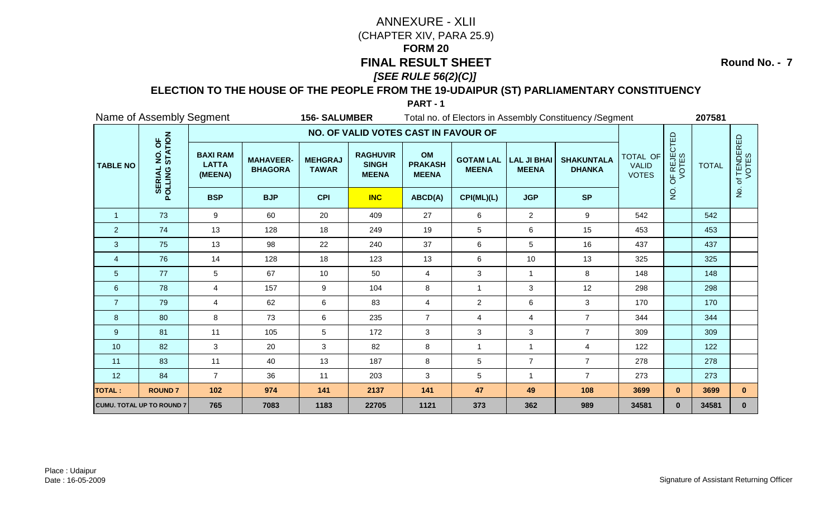**Round No. - 7**

### **ELECTION TO THE HOUSE OF THE PEOPLE FROM THE 19-UDAIPUR (ST) PARLIAMENTARY CONSTITUENCY**

|                 | Name of Assembly Segment                      |                                            |                                    | <b>156- SALUMBER</b>           |                                                 |                                      |                                  |                                    | Total no. of Electors in Assembly Constituency / Segment |                                          |                      | 207581       |                           |
|-----------------|-----------------------------------------------|--------------------------------------------|------------------------------------|--------------------------------|-------------------------------------------------|--------------------------------------|----------------------------------|------------------------------------|----------------------------------------------------------|------------------------------------------|----------------------|--------------|---------------------------|
|                 |                                               |                                            |                                    |                                | NO. OF VALID VOTES CAST IN FAVOUR OF            |                                      |                                  |                                    |                                                          |                                          |                      |              |                           |
| <b>TABLE NO</b> | NO. OF<br>STATION<br><b>SERIAL</b><br>POLLING | <b>BAXI RAM</b><br><b>LATTA</b><br>(MEENA) | <b>MAHAVEER-</b><br><b>BHAGORA</b> | <b>MEHGRAJ</b><br><b>TAWAR</b> | <b>RAGHUVIR</b><br><b>SINGH</b><br><b>MEENA</b> | OM<br><b>PRAKASH</b><br><b>MEENA</b> | <b>GOTAM LAL</b><br><b>MEENA</b> | <b>LAL JI BHAI</b><br><b>MEENA</b> | <b>SHAKUNTALA</b><br><b>DHANKA</b>                       | TOTAL OF<br><b>VALID</b><br><b>VOTES</b> | OF REJECTED<br>VOTES | <b>TOTAL</b> | f TENDERED<br>VOTES<br>'ত |
|                 |                                               | <b>BSP</b>                                 | <b>BJP</b>                         | <b>CPI</b>                     | <b>INC</b>                                      | ABCD(A)                              | CPI(ML)(L)                       | <b>JGP</b>                         | <b>SP</b>                                                |                                          | $\frac{1}{2}$        |              | $\frac{1}{2}$             |
| $\overline{1}$  | 73                                            | 9                                          | 60                                 | 20                             | 409                                             | 27                                   | 6                                | $\overline{2}$                     | 9                                                        | 542                                      |                      | 542          |                           |
| $\overline{2}$  | 74                                            | 13                                         | 128                                | 18                             | 249                                             | 19                                   | 5                                | 6                                  | 15                                                       | 453                                      |                      | 453          |                           |
| 3               | 75                                            | 13                                         | 98                                 | 22                             | 240                                             | 37                                   | 6                                | 5                                  | 16                                                       | 437                                      |                      | 437          |                           |
| $\overline{4}$  | 76                                            | 14                                         | 128                                | 18                             | 123                                             | 13                                   | 6                                | 10                                 | 13                                                       | 325                                      |                      | 325          |                           |
| 5               | 77                                            | 5                                          | 67                                 | 10                             | 50                                              | $\overline{4}$                       | $\mathbf{3}$                     | $\mathbf{1}$                       | 8                                                        | 148                                      |                      | 148          |                           |
| $\,6$           | 78                                            | $\overline{4}$                             | 157                                | 9                              | 104                                             | 8                                    | $\mathbf{1}$                     | 3                                  | 12                                                       | 298                                      |                      | 298          |                           |
| $\overline{7}$  | 79                                            | 4                                          | 62                                 | 6                              | 83                                              | 4                                    | $\overline{2}$                   | 6                                  | $\ensuremath{\mathsf{3}}$                                | 170                                      |                      | 170          |                           |
| 8               | 80                                            | 8                                          | 73                                 | 6                              | 235                                             | $\overline{7}$                       | 4                                | 4                                  | $\overline{7}$                                           | 344                                      |                      | 344          |                           |
| 9               | 81                                            | 11                                         | 105                                | 5                              | 172                                             | 3                                    | 3                                | 3                                  | $\overline{7}$                                           | 309                                      |                      | 309          |                           |
| 10              | 82                                            | 3                                          | 20                                 | 3                              | 82                                              | 8                                    | $\mathbf{1}$                     | $\mathbf{1}$                       | $\overline{4}$                                           | 122                                      |                      | 122          |                           |
| 11              | 83                                            | 11                                         | 40                                 | 13                             | 187                                             | 8                                    | 5                                | $\overline{7}$                     | $\overline{7}$                                           | 278                                      |                      | 278          |                           |
| 12              | 84                                            | $\overline{7}$                             | 36                                 | 11                             | 203                                             | 3                                    | 5                                | $\mathbf{1}$                       | $\overline{7}$                                           | 273                                      |                      | 273          |                           |
| <b>TOTAL:</b>   | <b>ROUND7</b>                                 | 102                                        | 974                                | 141                            | 2137                                            | 141                                  | 47                               | 49                                 | 108                                                      | 3699                                     | $\mathbf{0}$         | 3699         | $\mathbf{0}$              |
|                 | <b>CUMU. TOTAL UP TO ROUND 7</b>              | 765                                        | 7083                               | 1183                           | 22705                                           | 1121                                 | 373                              | 362                                | 989                                                      | 34581                                    | $\mathbf{0}$         | 34581        | $\mathbf{0}$              |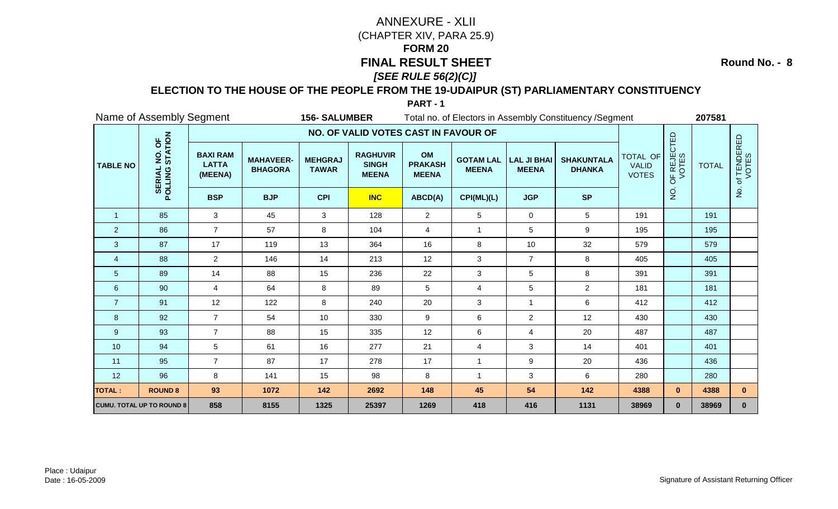**Round No. - 8**

### **ELECTION TO THE HOUSE OF THE PEOPLE FROM THE 19-UDAIPUR (ST) PARLIAMENTARY CONSTITUENCY**

|                 | Name of Assembly Segment                      |                                            |                                    | <b>156-SALUMBER</b>            |                                                 |                                      |                                  |                                    | Total no. of Electors in Assembly Constituency / Segment |                                          |                      | 207581       |                          |
|-----------------|-----------------------------------------------|--------------------------------------------|------------------------------------|--------------------------------|-------------------------------------------------|--------------------------------------|----------------------------------|------------------------------------|----------------------------------------------------------|------------------------------------------|----------------------|--------------|--------------------------|
|                 |                                               |                                            |                                    |                                | NO. OF VALID VOTES CAST IN FAVOUR OF            |                                      |                                  |                                    |                                                          |                                          |                      |              |                          |
| <b>TABLE NO</b> | NO. OF<br>STATION<br><b>SERIAL</b><br>POLLING | <b>BAXI RAM</b><br><b>LATTA</b><br>(MEENA) | <b>MAHAVEER-</b><br><b>BHAGORA</b> | <b>MEHGRAJ</b><br><b>TAWAR</b> | <b>RAGHUVIR</b><br><b>SINGH</b><br><b>MEENA</b> | OM<br><b>PRAKASH</b><br><b>MEENA</b> | <b>GOTAM LAL</b><br><b>MEENA</b> | <b>LAL JI BHAI</b><br><b>MEENA</b> | <b>SHAKUNTALA</b><br><b>DHANKA</b>                       | TOTAL OF<br><b>VALID</b><br><b>VOTES</b> | OF REJECTED<br>VOTES | <b>TOTAL</b> | f TENDERED<br>VOTES<br>ㅎ |
|                 |                                               | <b>BSP</b>                                 | <b>BJP</b>                         | <b>CPI</b>                     | <b>INC</b>                                      | ABCD(A)                              | CPI(ML)(L)                       | <b>JGP</b>                         | <b>SP</b>                                                |                                          | $\rm \dot{Q}$        |              | $\mathsf{P}$             |
| $\overline{1}$  | 85                                            | 3                                          | 45                                 | 3                              | 128                                             | $\overline{2}$                       | 5                                | 0                                  | 5                                                        | 191                                      |                      | 191          |                          |
| $\overline{2}$  | 86                                            | $\overline{7}$                             | 57                                 | 8                              | 104                                             | $\overline{4}$                       |                                  | 5                                  | 9                                                        | 195                                      |                      | 195          |                          |
| 3               | 87                                            | 17                                         | 119                                | 13                             | 364                                             | 16                                   | 8                                | 10                                 | 32                                                       | 579                                      |                      | 579          |                          |
| $\overline{4}$  | 88                                            | $\overline{2}$                             | 146                                | 14                             | 213                                             | 12                                   | 3                                | $\overline{7}$                     | 8                                                        | 405                                      |                      | 405          |                          |
| 5               | 89                                            | 14                                         | 88                                 | 15                             | 236                                             | 22                                   | $\mathbf{3}$                     | 5                                  | 8                                                        | 391                                      |                      | 391          |                          |
| $\,6\,$         | 90                                            | $\overline{4}$                             | 64                                 | 8                              | 89                                              | 5                                    | $\overline{4}$                   | 5                                  | $\overline{a}$                                           | 181                                      |                      | 181          |                          |
| $\overline{7}$  | 91                                            | 12                                         | 122                                | 8                              | 240                                             | 20                                   | 3                                | 1                                  | 6                                                        | 412                                      |                      | 412          |                          |
| 8               | 92                                            | $\overline{7}$                             | 54                                 | 10                             | 330                                             | $\boldsymbol{9}$                     | 6                                | $\overline{a}$                     | 12                                                       | 430                                      |                      | 430          |                          |
| 9               | 93                                            | $\overline{7}$                             | 88                                 | 15                             | 335                                             | 12                                   | 6                                | 4                                  | 20                                                       | 487                                      |                      | 487          |                          |
| 10              | 94                                            | 5                                          | 61                                 | 16                             | 277                                             | 21                                   | $\overline{4}$                   | 3                                  | 14                                                       | 401                                      |                      | 401          |                          |
| 11              | 95                                            | $\overline{7}$                             | 87                                 | 17                             | 278                                             | 17                                   | $\mathbf{1}$                     | 9                                  | 20                                                       | 436                                      |                      | 436          |                          |
| 12              | 96                                            | 8                                          | 141                                | 15                             | 98                                              | 8                                    | $\mathbf{1}$                     | 3                                  | 6                                                        | 280                                      |                      | 280          |                          |
| <b>TOTAL:</b>   | <b>ROUND 8</b>                                | 93                                         | 1072                               | 142                            | 2692                                            | 148                                  | 45                               | 54                                 | 142                                                      | 4388                                     | $\mathbf{0}$         | 4388         | $\mathbf{0}$             |
|                 | <b>CUMU. TOTAL UP TO ROUND 8</b>              | 858                                        | 8155                               | 1325                           | 25397                                           | 1269                                 | 418                              | 416                                | 1131                                                     | 38969                                    | $\mathbf{0}$         | 38969        | $\mathbf{0}$             |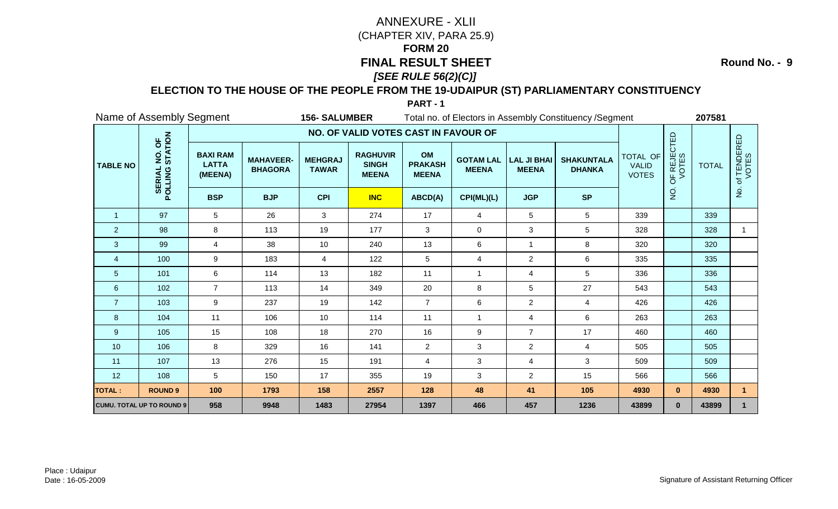**Round No. - 9**

### **ELECTION TO THE HOUSE OF THE PEOPLE FROM THE 19-UDAIPUR (ST) PARLIAMENTARY CONSTITUENCY**

|                 | Name of Assembly Segment         |                                            |                                    | <b>156-SALUMBER</b>            |                                                 |                                      |                                  |                                    | Total no. of Electors in Assembly Constituency / Segment |                                          |                      | 207581       |                          |
|-----------------|----------------------------------|--------------------------------------------|------------------------------------|--------------------------------|-------------------------------------------------|--------------------------------------|----------------------------------|------------------------------------|----------------------------------------------------------|------------------------------------------|----------------------|--------------|--------------------------|
|                 |                                  |                                            |                                    |                                | NO. OF VALID VOTES CAST IN FAVOUR OF            |                                      |                                  |                                    |                                                          |                                          |                      |              |                          |
| <b>TABLE NO</b> | NO. OF<br>STATION<br>POLLING     | <b>BAXI RAM</b><br><b>LATTA</b><br>(MEENA) | <b>MAHAVEER-</b><br><b>BHAGORA</b> | <b>MEHGRAJ</b><br><b>TAWAR</b> | <b>RAGHUVIR</b><br><b>SINGH</b><br><b>MEENA</b> | OM<br><b>PRAKASH</b><br><b>MEENA</b> | <b>GOTAM LAL</b><br><b>MEENA</b> | <b>LAL JI BHAI</b><br><b>MEENA</b> | <b>SHAKUNTALA</b><br><b>DHANKA</b>                       | TOTAL OF<br><b>VALID</b><br><b>VOTES</b> | OF REJECTED<br>VOTES | <b>TOTAL</b> | f TENDERED<br>VOTES<br>ㅎ |
|                 |                                  | <b>BSP</b>                                 | <b>BJP</b>                         | <b>CPI</b>                     | <b>INC</b>                                      | ABCD(A)                              | CPI(ML)(L)                       | <b>JGP</b>                         | <b>SP</b>                                                |                                          | $\rm \dot{Q}$        |              | $\mathsf{P}$             |
| $\overline{1}$  | 97                               | 5                                          | 26                                 | 3                              | 274                                             | 17                                   | $\overline{4}$                   | 5                                  | 5                                                        | 339                                      |                      | 339          |                          |
| $\overline{2}$  | 98                               | 8                                          | 113                                | 19                             | 177                                             | 3                                    | $\pmb{0}$                        | 3                                  | 5                                                        | 328                                      |                      | 328          |                          |
| 3               | 99                               | $\overline{4}$                             | 38                                 | 10                             | 240                                             | 13                                   | 6                                | $\mathbf{1}$                       | 8                                                        | 320                                      |                      | 320          |                          |
| $\overline{4}$  | 100                              | 9                                          | 183                                | 4                              | 122                                             | 5                                    | $\overline{4}$                   | $\overline{a}$                     | 6                                                        | 335                                      |                      | 335          |                          |
| 5               | 101                              | 6                                          | 114                                | 13                             | 182                                             | 11                                   | $\overline{1}$                   | 4                                  | 5                                                        | 336                                      |                      | 336          |                          |
| $\,6$           | 102                              | $\overline{7}$                             | 113                                | 14                             | 349                                             | 20                                   | 8                                | 5                                  | 27                                                       | 543                                      |                      | 543          |                          |
| $\overline{7}$  | 103                              | 9                                          | 237                                | 19                             | 142                                             | $\overline{7}$                       | 6                                | $\overline{a}$                     | 4                                                        | 426                                      |                      | 426          |                          |
| 8               | 104                              | 11                                         | 106                                | 10                             | 114                                             | 11                                   | $\mathbf{1}$                     | 4                                  | 6                                                        | 263                                      |                      | 263          |                          |
| 9               | 105                              | 15                                         | 108                                | 18                             | 270                                             | 16                                   | 9                                | $\overline{7}$                     | 17                                                       | 460                                      |                      | 460          |                          |
| 10              | 106                              | 8                                          | 329                                | 16                             | 141                                             | $\overline{2}$                       | 3                                | $\overline{a}$                     | $\overline{4}$                                           | 505                                      |                      | 505          |                          |
| 11              | 107                              | 13                                         | 276                                | 15                             | 191                                             | $\overline{4}$                       | $\sqrt{3}$                       | 4                                  | 3                                                        | 509                                      |                      | 509          |                          |
| 12              | 108                              | 5                                          | 150                                | 17                             | 355                                             | 19                                   | $\mathbf{3}$                     | $\overline{a}$                     | 15                                                       | 566                                      |                      | 566          |                          |
| <b>TOTAL:</b>   | <b>ROUND 9</b>                   | 100                                        | 1793                               | 158                            | 2557                                            | 128                                  | 48                               | 41                                 | 105                                                      | 4930                                     | $\mathbf{0}$         | 4930         | $\mathbf 1$              |
|                 | <b>CUMU. TOTAL UP TO ROUND 9</b> | 958                                        | 9948                               | 1483                           | 27954                                           | 1397                                 | 466                              | 457                                | 1236                                                     | 43899                                    | $\mathbf{0}$         | 43899        |                          |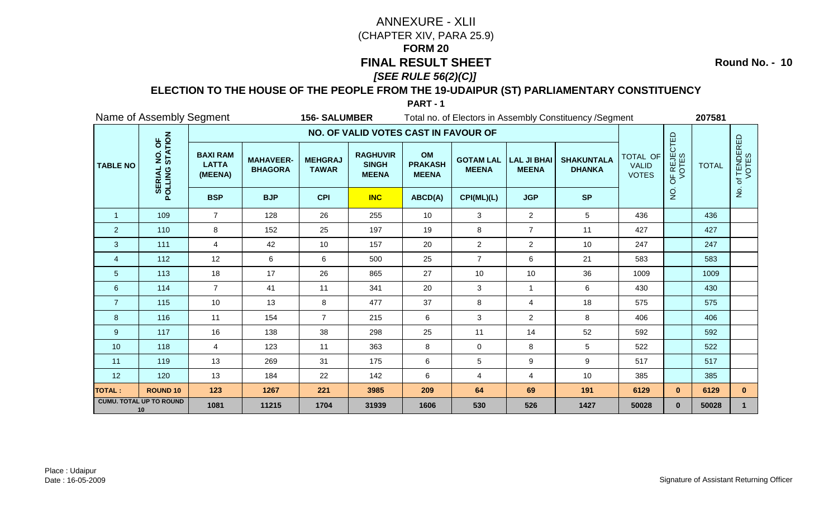**Round No. - 10**

### **ELECTION TO THE HOUSE OF THE PEOPLE FROM THE 19-UDAIPUR (ST) PARLIAMENTARY CONSTITUENCY**

|                 | Name of Assembly Segment             |                                            |                                    | <b>156-SALUMBER</b>            |                                                 |                                      |                                  |                                    | Total no. of Electors in Assembly Constituency / Segment |                                                 |                      | 207581       |                      |
|-----------------|--------------------------------------|--------------------------------------------|------------------------------------|--------------------------------|-------------------------------------------------|--------------------------------------|----------------------------------|------------------------------------|----------------------------------------------------------|-------------------------------------------------|----------------------|--------------|----------------------|
|                 |                                      |                                            |                                    |                                | NO. OF VALID VOTES CAST IN FAVOUR OF            |                                      |                                  |                                    |                                                          |                                                 |                      |              |                      |
| <b>TABLE NO</b> | NO. OF<br>STATION<br>POLLING         | <b>BAXI RAM</b><br><b>LATTA</b><br>(MEENA) | <b>MAHAVEER-</b><br><b>BHAGORA</b> | <b>MEHGRAJ</b><br><b>TAWAR</b> | <b>RAGHUVIR</b><br><b>SINGH</b><br><b>MEENA</b> | OM<br><b>PRAKASH</b><br><b>MEENA</b> | <b>GOTAM LAL</b><br><b>MEENA</b> | <b>LAL JI BHAI</b><br><b>MEENA</b> | <b>SHAKUNTALA</b><br><b>DHANKA</b>                       | <b>TOTAL OF</b><br><b>VALID</b><br><b>VOTES</b> | OF REJECTED<br>VOTES | <b>TOTAL</b> | of TENDERED<br>VOTES |
|                 |                                      | <b>BSP</b>                                 | <b>BJP</b>                         | <b>CPI</b>                     | <b>INC</b>                                      | ABCD(A)                              | CPI(ML)(L)                       | <b>JGP</b>                         | <b>SP</b>                                                |                                                 | o<br>Z               |              | $\frac{9}{2}$        |
| $\mathbf{1}$    | 109                                  | $\overline{7}$                             | 128                                | 26                             | 255                                             | 10                                   | 3                                | $\overline{2}$                     | $5\phantom{.0}$                                          | 436                                             |                      | 436          |                      |
| $\overline{2}$  | 110                                  | 8                                          | 152                                | 25                             | 197                                             | 19                                   | 8                                | $\overline{7}$                     | 11                                                       | 427                                             |                      | 427          |                      |
| 3               | 111                                  | 4                                          | 42                                 | 10                             | 157                                             | 20                                   | $\overline{2}$                   | $\overline{2}$                     | 10                                                       | 247                                             |                      | 247          |                      |
| $\overline{4}$  | 112                                  | 12                                         | 6                                  | 6                              | 500                                             | 25                                   | $\overline{7}$                   | 6                                  | 21                                                       | 583                                             |                      | 583          |                      |
| $\overline{5}$  | 113                                  | 18                                         | 17                                 | 26                             | 865                                             | 27                                   | 10                               | 10                                 | 36                                                       | 1009                                            |                      | 1009         |                      |
| $\,6\,$         | 114                                  | $\overline{7}$                             | 41                                 | 11                             | 341                                             | 20                                   | 3                                | $\mathbf{1}$                       | 6                                                        | 430                                             |                      | 430          |                      |
| $\overline{7}$  | 115                                  | 10                                         | 13                                 | 8                              | 477                                             | 37                                   | 8                                | 4                                  | 18                                                       | 575                                             |                      | 575          |                      |
| 8               | 116                                  | 11                                         | 154                                | $\overline{7}$                 | 215                                             | 6                                    | 3                                | $\overline{2}$                     | 8                                                        | 406                                             |                      | 406          |                      |
| 9               | 117                                  | 16                                         | 138                                | 38                             | 298                                             | 25                                   | 11                               | 14                                 | 52                                                       | 592                                             |                      | 592          |                      |
| 10              | 118                                  | $\overline{4}$                             | 123                                | 11                             | 363                                             | 8                                    | $\mathbf 0$                      | 8                                  | 5                                                        | 522                                             |                      | 522          |                      |
| 11              | 119                                  | 13                                         | 269                                | 31                             | 175                                             | $\,6$                                | $5\phantom{.0}$                  | 9                                  | 9                                                        | 517                                             |                      | 517          |                      |
| 12              | 120                                  | 13                                         | 184                                | 22                             | 142                                             | 6                                    | 4                                | 4                                  | 10                                                       | 385                                             |                      | 385          |                      |
| <b>TOTAL:</b>   | <b>ROUND 10</b>                      | 123                                        | 1267                               | 221                            | 3985                                            | 209                                  | 64                               | 69                                 | 191                                                      | 6129                                            | $\mathbf{0}$         | 6129         | $\mathbf{0}$         |
|                 | <b>CUMU. TOTAL UP TO ROUND</b><br>10 | 1081                                       | 11215                              | 1704                           | 31939                                           | 1606                                 | 530                              | 526                                | 1427                                                     | 50028                                           | $\mathbf{0}$         | 50028        |                      |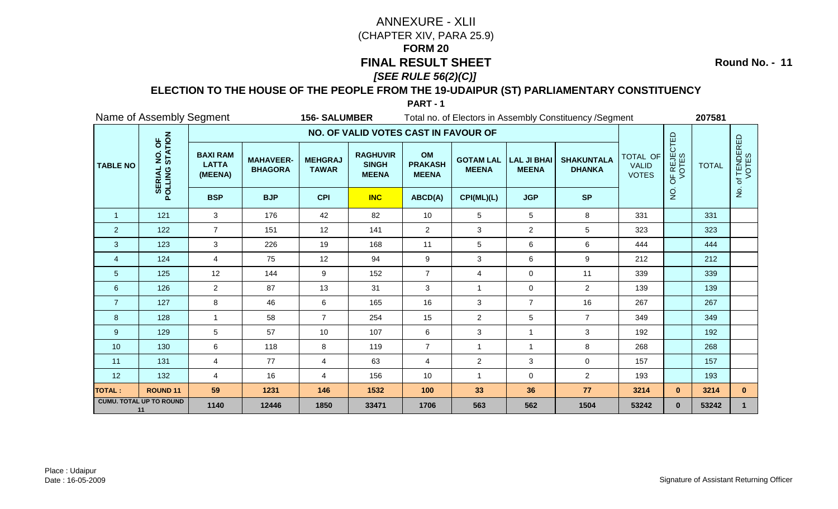**Round No. - 11**

### **ELECTION TO THE HOUSE OF THE PEOPLE FROM THE 19-UDAIPUR (ST) PARLIAMENTARY CONSTITUENCY**

|                 | Name of Assembly Segment             |                                            |                                    | <b>156- SALUMBER</b>           |                                                 |                                      |                                  |                                    | Total no. of Electors in Assembly Constituency / Segment |                                          |                      | 207581       |                      |
|-----------------|--------------------------------------|--------------------------------------------|------------------------------------|--------------------------------|-------------------------------------------------|--------------------------------------|----------------------------------|------------------------------------|----------------------------------------------------------|------------------------------------------|----------------------|--------------|----------------------|
|                 |                                      |                                            |                                    |                                | NO. OF VALID VOTES CAST IN FAVOUR OF            |                                      |                                  |                                    |                                                          |                                          |                      |              |                      |
| <b>TABLE NO</b> | NO. OF<br>STATION<br>POLLING         | <b>BAXI RAM</b><br><b>LATTA</b><br>(MEENA) | <b>MAHAVEER-</b><br><b>BHAGORA</b> | <b>MEHGRAJ</b><br><b>TAWAR</b> | <b>RAGHUVIR</b><br><b>SINGH</b><br><b>MEENA</b> | OM<br><b>PRAKASH</b><br><b>MEENA</b> | <b>GOTAM LAL</b><br><b>MEENA</b> | <b>LAL JI BHAI</b><br><b>MEENA</b> | <b>SHAKUNTALA</b><br><b>DHANKA</b>                       | TOTAL OF<br><b>VALID</b><br><b>VOTES</b> | OF REJECTED<br>VOTES | <b>TOTAL</b> | of TENDERED<br>VOTES |
|                 |                                      | <b>BSP</b>                                 | <b>BJP</b>                         | <b>CPI</b>                     | <b>INC</b>                                      | ABCD(A)                              | CPI(ML)(L)                       | <b>JGP</b>                         | <b>SP</b>                                                |                                          | $\frac{1}{2}$        |              | $rac{1}{2}$          |
| $\overline{1}$  | 121                                  | $\mathbf{3}$                               | 176                                | 42                             | 82                                              | 10                                   | 5                                | 5                                  | 8                                                        | 331                                      |                      | 331          |                      |
| $\overline{2}$  | 122                                  | $\overline{7}$                             | 151                                | 12                             | 141                                             | $\overline{c}$                       | 3                                | $\overline{a}$                     | 5                                                        | 323                                      |                      | 323          |                      |
| 3               | 123                                  | 3                                          | 226                                | 19                             | 168                                             | 11                                   | 5                                | 6                                  | 6                                                        | 444                                      |                      | 444          |                      |
| $\overline{4}$  | 124                                  | $\overline{4}$                             | 75                                 | 12                             | 94                                              | 9                                    | 3                                | 6                                  | 9                                                        | 212                                      |                      | 212          |                      |
| 5               | 125                                  | 12                                         | 144                                | 9                              | 152                                             | $\overline{7}$                       | $\overline{4}$                   | 0                                  | 11                                                       | 339                                      |                      | 339          |                      |
| $\,6\,$         | 126                                  | $\overline{2}$                             | 87                                 | 13                             | 31                                              | 3                                    | $\mathbf{1}$                     | 0                                  | $\overline{2}$                                           | 139                                      |                      | 139          |                      |
| $\overline{7}$  | 127                                  | 8                                          | 46                                 | 6                              | 165                                             | 16                                   | $\ensuremath{\mathsf{3}}$        | $\overline{7}$                     | 16                                                       | 267                                      |                      | 267          |                      |
| 8               | 128                                  | $\mathbf{1}$                               | 58                                 | $\overline{7}$                 | 254                                             | 15                                   | $\overline{c}$                   | 5                                  | $\overline{7}$                                           | 349                                      |                      | 349          |                      |
| 9               | 129                                  | 5                                          | 57                                 | 10                             | 107                                             | 6                                    | 3                                | $\mathbf{1}$                       | 3                                                        | 192                                      |                      | 192          |                      |
| 10              | 130                                  | 6                                          | 118                                | 8                              | 119                                             | $\overline{7}$                       | $\overline{1}$                   | $\mathbf{1}$                       | 8                                                        | 268                                      |                      | 268          |                      |
| 11              | 131                                  | $\overline{4}$                             | 77                                 | $\overline{4}$                 | 63                                              | $\overline{4}$                       | $\overline{c}$                   | 3                                  | $\mathbf 0$                                              | 157                                      |                      | 157          |                      |
| 12              | 132                                  | 4                                          | 16                                 | 4                              | 156                                             | 10                                   | $\mathbf{1}$                     | 0                                  | $\overline{2}$                                           | 193                                      |                      | 193          |                      |
| <b>TOTAL:</b>   | <b>ROUND 11</b>                      | 59                                         | 1231                               | 146                            | 1532                                            | 100                                  | 33                               | 36                                 | 77                                                       | 3214                                     | $\mathbf{0}$         | 3214         | $\mathbf{0}$         |
|                 | <b>CUMU. TOTAL UP TO ROUND</b><br>11 | 1140                                       | 12446                              | 1850                           | 33471                                           | 1706                                 | 563                              | 562                                | 1504                                                     | 53242                                    | $\mathbf{0}$         | 53242        | 1                    |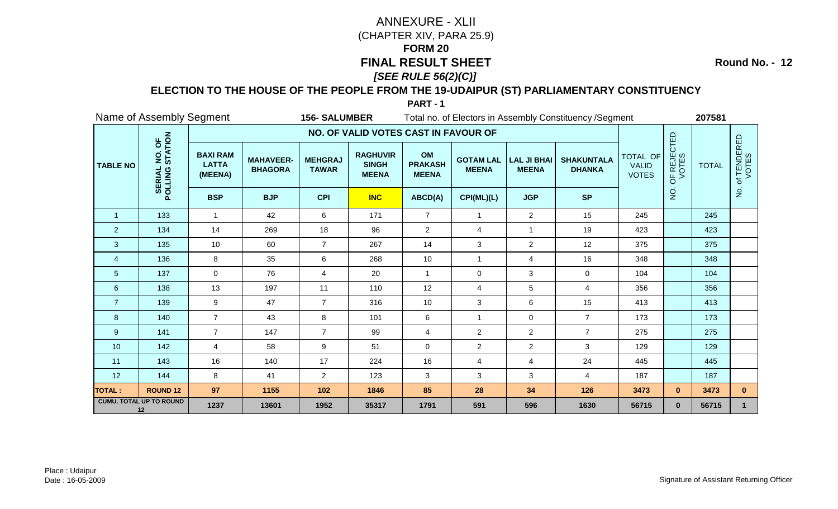**Round No. - 12**

### **ELECTION TO THE HOUSE OF THE PEOPLE FROM THE 19-UDAIPUR (ST) PARLIAMENTARY CONSTITUENCY**

|                 | Name of Assembly Segment                             |                                            |                                    | <b>156-SALUMBER</b>            |                                                 |                                      |                                  |                                    | Total no. of Electors in Assembly Constituency / Segment |                                          |                      | 207581       |                      |
|-----------------|------------------------------------------------------|--------------------------------------------|------------------------------------|--------------------------------|-------------------------------------------------|--------------------------------------|----------------------------------|------------------------------------|----------------------------------------------------------|------------------------------------------|----------------------|--------------|----------------------|
|                 |                                                      |                                            |                                    |                                | NO. OF VALID VOTES CAST IN FAVOUR OF            |                                      |                                  |                                    |                                                          |                                          |                      |              |                      |
| <b>TABLE NO</b> | NO. OF<br>STATION<br><b>POLLING</b><br><b>SERIAL</b> | <b>BAXI RAM</b><br><b>LATTA</b><br>(MEENA) | <b>MAHAVEER-</b><br><b>BHAGORA</b> | <b>MEHGRAJ</b><br><b>TAWAR</b> | <b>RAGHUVIR</b><br><b>SINGH</b><br><b>MEENA</b> | OM<br><b>PRAKASH</b><br><b>MEENA</b> | <b>GOTAM LAL</b><br><b>MEENA</b> | <b>LAL JI BHAI</b><br><b>MEENA</b> | <b>SHAKUNTALA</b><br><b>DHANKA</b>                       | TOTAL OF<br><b>VALID</b><br><b>VOTES</b> | OF REJECTED<br>VOTES | <b>TOTAL</b> | of TENDERED<br>VOTES |
|                 |                                                      | <b>BSP</b>                                 | <b>BJP</b>                         | <b>CPI</b>                     | <b>INC</b>                                      | ABCD(A)                              | CPI(ML)(L)                       | <b>JGP</b>                         | <b>SP</b>                                                |                                          | $\frac{1}{2}$        |              | $\frac{1}{2}$        |
| $\overline{1}$  | 133                                                  | $\mathbf{1}$                               | 42                                 | 6                              | 171                                             | $\overline{7}$                       | $\mathbf{1}$                     | $\overline{2}$                     | 15                                                       | 245                                      |                      | 245          |                      |
| $\overline{2}$  | 134                                                  | 14                                         | 269                                | 18                             | 96                                              | $\overline{2}$                       | 4                                | 1                                  | 19                                                       | 423                                      |                      | 423          |                      |
| 3               | 135                                                  | 10                                         | 60                                 | $\overline{7}$                 | 267                                             | 14                                   | $\mathbf{3}$                     | $\overline{2}$                     | 12                                                       | 375                                      |                      | 375          |                      |
| $\overline{4}$  | 136                                                  | 8                                          | 35                                 | 6                              | 268                                             | 10                                   | $\mathbf{1}$                     | 4                                  | 16                                                       | 348                                      |                      | 348          |                      |
| 5               | 137                                                  | 0                                          | 76                                 | 4                              | 20                                              | $\mathbf{1}$                         | 0                                | 3                                  | $\mathbf 0$                                              | 104                                      |                      | 104          |                      |
| $6\phantom{1}6$ | 138                                                  | 13                                         | 197                                | 11                             | 110                                             | 12                                   | $\overline{4}$                   | 5                                  | $\overline{4}$                                           | 356                                      |                      | 356          |                      |
| $\overline{7}$  | 139                                                  | 9                                          | 47                                 | $\overline{7}$                 | 316                                             | 10                                   | $\mathbf{3}$                     | 6                                  | 15                                                       | 413                                      |                      | 413          |                      |
| 8               | 140                                                  | $\overline{7}$                             | 43                                 | 8                              | 101                                             | 6                                    | 1                                | 0                                  | $\overline{7}$                                           | 173                                      |                      | 173          |                      |
| 9               | 141                                                  | $\overline{7}$                             | 147                                | $\overline{7}$                 | 99                                              | $\overline{4}$                       | $\overline{2}$                   | $\overline{a}$                     | $\overline{7}$                                           | 275                                      |                      | 275          |                      |
| 10              | 142                                                  | $\overline{4}$                             | 58                                 | 9                              | 51                                              | $\mathbf 0$                          | $\overline{c}$                   | $\overline{c}$                     | 3                                                        | 129                                      |                      | 129          |                      |
| 11              | 143                                                  | 16                                         | 140                                | 17                             | 224                                             | 16                                   | $\overline{\mathbf{4}}$          | 4                                  | 24                                                       | 445                                      |                      | 445          |                      |
| 12              | 144                                                  | 8                                          | 41                                 | $\overline{2}$                 | 123                                             | 3                                    | 3                                | 3                                  | 4                                                        | 187                                      |                      | 187          |                      |
| <b>TOTAL:</b>   | <b>ROUND 12</b>                                      | 97                                         | 1155                               | 102                            | 1846                                            | 85                                   | 28                               | 34                                 | 126                                                      | 3473                                     | $\mathbf{0}$         | 3473         | $\mathbf{0}$         |
|                 | <b>CUMU. TOTAL UP TO ROUND</b><br>12                 | 1237                                       | 13601                              | 1952                           | 35317                                           | 1791                                 | 591                              | 596                                | 1630                                                     | 56715                                    | $\mathbf{0}$         | 56715        |                      |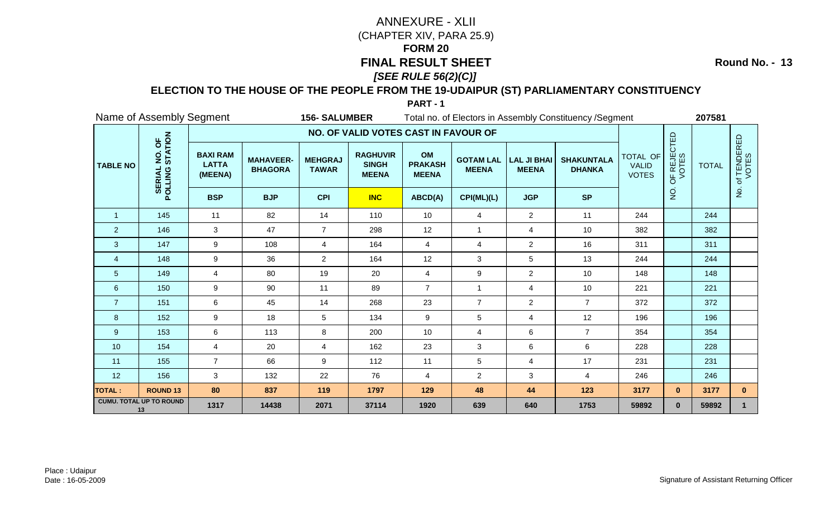**Round No. - 13**

### **ELECTION TO THE HOUSE OF THE PEOPLE FROM THE 19-UDAIPUR (ST) PARLIAMENTARY CONSTITUENCY**

|                 | Name of Assembly Segment<br><b>156- SALUMBER</b> |                                            |                                    |                                |                                                 |                                      | Total no. of Electors in Assembly Constituency / Segment |                                    |                                    |                                          |                      |              |                      |
|-----------------|--------------------------------------------------|--------------------------------------------|------------------------------------|--------------------------------|-------------------------------------------------|--------------------------------------|----------------------------------------------------------|------------------------------------|------------------------------------|------------------------------------------|----------------------|--------------|----------------------|
|                 |                                                  |                                            |                                    |                                | NO. OF VALID VOTES CAST IN FAVOUR OF            |                                      |                                                          |                                    |                                    |                                          |                      |              |                      |
| <b>TABLE NO</b> | NO. OF<br>STATION<br>POLLING                     | <b>BAXI RAM</b><br><b>LATTA</b><br>(MEENA) | <b>MAHAVEER-</b><br><b>BHAGORA</b> | <b>MEHGRAJ</b><br><b>TAWAR</b> | <b>RAGHUVIR</b><br><b>SINGH</b><br><b>MEENA</b> | OM<br><b>PRAKASH</b><br><b>MEENA</b> | <b>GOTAM LAL</b><br><b>MEENA</b>                         | <b>LAL JI BHAI</b><br><b>MEENA</b> | <b>SHAKUNTALA</b><br><b>DHANKA</b> | TOTAL OF<br><b>VALID</b><br><b>VOTES</b> | OF REJECTED<br>VOTES | <b>TOTAL</b> | of TENDERED<br>VOTES |
|                 |                                                  | <b>BSP</b>                                 | <b>BJP</b>                         | <b>CPI</b>                     | <b>INC</b>                                      | ABCD(A)                              | CPI(ML)(L)                                               | <b>JGP</b>                         | <b>SP</b>                          |                                          | $\frac{1}{2}$        |              | $rac{1}{2}$          |
| $\overline{1}$  | 145                                              | 11                                         | 82                                 | 14                             | 110                                             | 10                                   | $\overline{4}$                                           | $\overline{2}$                     | 11                                 | 244                                      |                      | 244          |                      |
| $\overline{2}$  | 146                                              | 3                                          | 47                                 | $\overline{7}$                 | 298                                             | 12                                   |                                                          | 4                                  | 10                                 | 382                                      |                      | 382          |                      |
| 3               | 147                                              | 9                                          | 108                                | $\overline{4}$                 | 164                                             | $\overline{4}$                       | 4                                                        | $\overline{2}$                     | 16                                 | 311                                      |                      | 311          |                      |
| $\overline{4}$  | 148                                              | 9                                          | 36                                 | $\overline{2}$                 | 164                                             | 12                                   | 3                                                        | 5                                  | 13                                 | 244                                      |                      | 244          |                      |
| 5               | 149                                              | 4                                          | 80                                 | 19                             | 20                                              | $\overline{4}$                       | 9                                                        | $\overline{2}$                     | 10                                 | 148                                      |                      | 148          |                      |
| $\,6$           | 150                                              | 9                                          | 90                                 | 11                             | 89                                              | $\overline{7}$                       | $\mathbf{1}$                                             | 4                                  | 10                                 | 221                                      |                      | 221          |                      |
| $\overline{7}$  | 151                                              | 6                                          | 45                                 | 14                             | 268                                             | 23                                   | $\overline{7}$                                           | $\overline{a}$                     | $\overline{7}$                     | 372                                      |                      | 372          |                      |
| 8               | 152                                              | 9                                          | 18                                 | 5                              | 134                                             | 9                                    | 5                                                        | 4                                  | 12                                 | 196                                      |                      | 196          |                      |
| 9               | 153                                              | 6                                          | 113                                | 8                              | 200                                             | 10                                   | 4                                                        | 6                                  | $\overline{7}$                     | 354                                      |                      | 354          |                      |
| 10              | 154                                              | 4                                          | 20                                 | $\overline{4}$                 | 162                                             | 23                                   | 3                                                        | 6                                  | 6                                  | 228                                      |                      | 228          |                      |
| 11              | 155                                              | $\overline{7}$                             | 66                                 | 9                              | 112                                             | 11                                   | 5                                                        | 4                                  | 17                                 | 231                                      |                      | 231          |                      |
| 12              | 156                                              | 3                                          | 132                                | 22                             | 76                                              | 4                                    | $\overline{c}$                                           | 3                                  | $\overline{\mathbf{4}}$            | 246                                      |                      | 246          |                      |
| <b>TOTAL:</b>   | <b>ROUND 13</b>                                  | 80                                         | 837                                | 119                            | 1797                                            | 129                                  | 48                                                       | 44                                 | 123                                | 3177                                     | $\mathbf{0}$         | 3177         | $\mathbf{0}$         |
|                 | <b>CUMU. TOTAL UP TO ROUND</b><br>13             | 1317                                       | 14438                              | 2071                           | 37114                                           | 1920                                 | 639                                                      | 640                                | 1753                               | 59892                                    | $\mathbf{0}$         | 59892        | 1                    |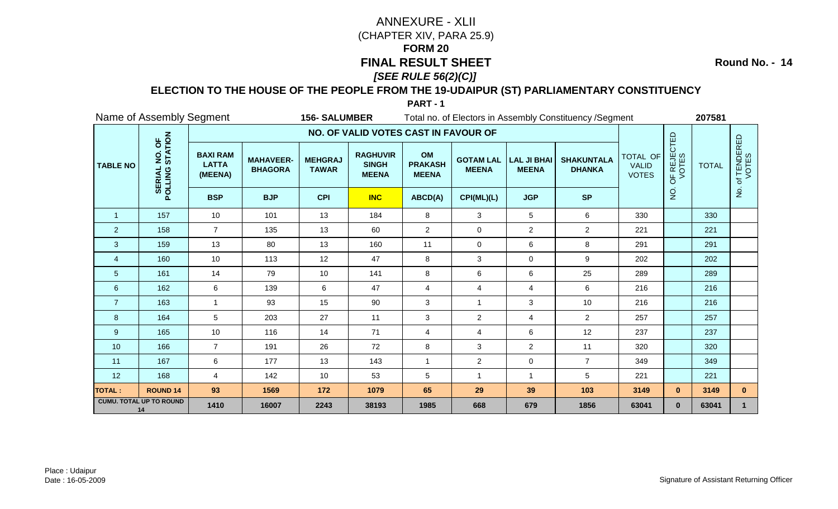**Round No. - 14**

### **ELECTION TO THE HOUSE OF THE PEOPLE FROM THE 19-UDAIPUR (ST) PARLIAMENTARY CONSTITUENCY**

|                 | Name of Assembly Segment<br><b>156- SALUMBER</b> |                                            |                                    |                                |                                                 | Total no. of Electors in Assembly Constituency / Segment |                                  |                                    |                                    |                                          |                      | 207581       |                      |
|-----------------|--------------------------------------------------|--------------------------------------------|------------------------------------|--------------------------------|-------------------------------------------------|----------------------------------------------------------|----------------------------------|------------------------------------|------------------------------------|------------------------------------------|----------------------|--------------|----------------------|
|                 |                                                  |                                            |                                    |                                | NO. OF VALID VOTES CAST IN FAVOUR OF            |                                                          |                                  |                                    |                                    |                                          |                      |              |                      |
| <b>TABLE NO</b> | NO. OF<br>STATION<br>POLLING                     | <b>BAXI RAM</b><br><b>LATTA</b><br>(MEENA) | <b>MAHAVEER-</b><br><b>BHAGORA</b> | <b>MEHGRAJ</b><br><b>TAWAR</b> | <b>RAGHUVIR</b><br><b>SINGH</b><br><b>MEENA</b> | OM<br><b>PRAKASH</b><br><b>MEENA</b>                     | <b>GOTAM LAL</b><br><b>MEENA</b> | <b>LAL JI BHAI</b><br><b>MEENA</b> | <b>SHAKUNTALA</b><br><b>DHANKA</b> | TOTAL OF<br><b>VALID</b><br><b>VOTES</b> | OF REJECTED<br>VOTES | <b>TOTAL</b> | of TENDERED<br>VOTES |
|                 |                                                  | <b>BSP</b>                                 | <b>BJP</b>                         | <b>CPI</b>                     | <b>INC</b>                                      | ABCD(A)                                                  | CPI(ML)(L)                       | <b>JGP</b>                         | <b>SP</b>                          |                                          | $\frac{1}{2}$        |              | $rac{1}{2}$          |
| $\overline{1}$  | 157                                              | 10                                         | 101                                | 13                             | 184                                             | 8                                                        | 3                                | 5                                  | 6                                  | 330                                      |                      | 330          |                      |
| $\overline{2}$  | 158                                              | $\overline{7}$                             | 135                                | 13                             | 60                                              | $\overline{c}$                                           | 0                                | $\overline{a}$                     | $\overline{2}$                     | 221                                      |                      | 221          |                      |
| 3               | 159                                              | 13                                         | 80                                 | 13                             | 160                                             | 11                                                       | $\pmb{0}$                        | 6                                  | 8                                  | 291                                      |                      | 291          |                      |
| $\overline{4}$  | 160                                              | 10                                         | 113                                | 12                             | 47                                              | 8                                                        | 3                                | 0                                  | 9                                  | 202                                      |                      | 202          |                      |
| 5               | 161                                              | 14                                         | 79                                 | 10                             | 141                                             | 8                                                        | 6                                | 6                                  | 25                                 | 289                                      |                      | 289          |                      |
| $\,6$           | 162                                              | 6                                          | 139                                | 6                              | 47                                              | $\overline{4}$                                           | $\overline{4}$                   | 4                                  | 6                                  | 216                                      |                      | 216          |                      |
| $\overline{7}$  | 163                                              | $\mathbf{1}$                               | 93                                 | 15                             | 90                                              | $\sqrt{3}$                                               | 1                                | 3                                  | 10                                 | 216                                      |                      | 216          |                      |
| 8               | 164                                              | 5                                          | 203                                | 27                             | 11                                              | 3                                                        | $\overline{c}$                   | 4                                  | $\overline{2}$                     | 257                                      |                      | 257          |                      |
| 9               | 165                                              | 10                                         | 116                                | 14                             | 71                                              | $\overline{4}$                                           | 4                                | 6                                  | 12                                 | 237                                      |                      | 237          |                      |
| 10              | 166                                              | $\overline{7}$                             | 191                                | 26                             | 72                                              | 8                                                        | 3                                | $\overline{2}$                     | 11                                 | 320                                      |                      | 320          |                      |
| 11              | 167                                              | 6                                          | 177                                | 13                             | 143                                             | $\overline{1}$                                           | $\overline{c}$                   | 0                                  | $\overline{7}$                     | 349                                      |                      | 349          |                      |
| 12              | 168                                              | 4                                          | 142                                | 10                             | 53                                              | $\mathbf 5$                                              | $\mathbf{1}$                     | $\mathbf{1}$                       | 5                                  | 221                                      |                      | 221          |                      |
| <b>TOTAL:</b>   | <b>ROUND 14</b>                                  | 93                                         | 1569                               | 172                            | 1079                                            | 65                                                       | 29                               | 39                                 | 103                                | 3149                                     | $\mathbf{0}$         | 3149         | $\mathbf{0}$         |
|                 | <b>CUMU. TOTAL UP TO ROUND</b><br>14             | 1410                                       | 16007                              | 2243                           | 38193                                           | 1985                                                     | 668                              | 679                                | 1856                               | 63041                                    | $\mathbf{0}$         | 63041        | 1                    |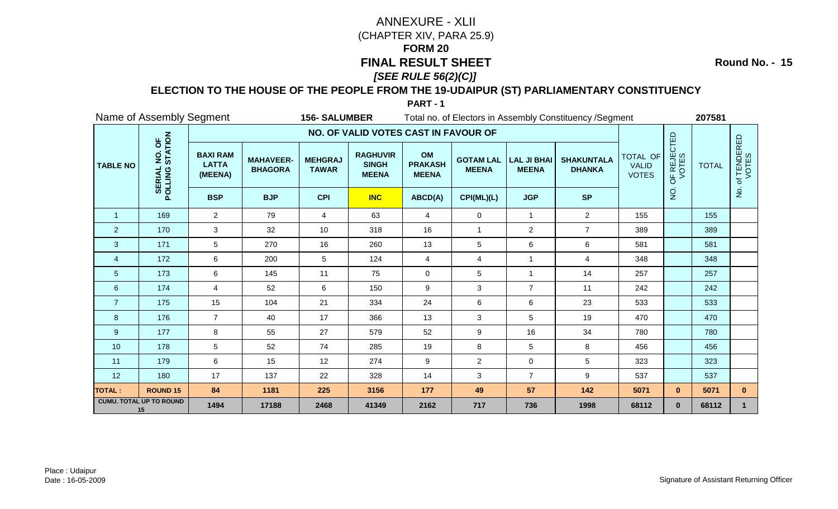**Round No. - 15**

### **ELECTION TO THE HOUSE OF THE PEOPLE FROM THE 19-UDAIPUR (ST) PARLIAMENTARY CONSTITUENCY**

|                 | Name of Assembly Segment<br><b>156- SALUMBER</b> |                                            |                                    |                                |                                                 |                                      | Total no. of Electors in Assembly Constituency / Segment |                                    |                                    |                                          |                      |              |                      |
|-----------------|--------------------------------------------------|--------------------------------------------|------------------------------------|--------------------------------|-------------------------------------------------|--------------------------------------|----------------------------------------------------------|------------------------------------|------------------------------------|------------------------------------------|----------------------|--------------|----------------------|
|                 |                                                  |                                            |                                    |                                | NO. OF VALID VOTES CAST IN FAVOUR OF            |                                      |                                                          |                                    |                                    |                                          |                      |              |                      |
| <b>TABLE NO</b> | NO. OF<br>STATION<br><b>SERIAL</b><br>POLLING    | <b>BAXI RAM</b><br><b>LATTA</b><br>(MEENA) | <b>MAHAVEER-</b><br><b>BHAGORA</b> | <b>MEHGRAJ</b><br><b>TAWAR</b> | <b>RAGHUVIR</b><br><b>SINGH</b><br><b>MEENA</b> | OM<br><b>PRAKASH</b><br><b>MEENA</b> | <b>GOTAM LAL</b><br><b>MEENA</b>                         | <b>LAL JI BHAI</b><br><b>MEENA</b> | <b>SHAKUNTALA</b><br><b>DHANKA</b> | TOTAL OF<br><b>VALID</b><br><b>VOTES</b> | OF REJECTED<br>VOTES | <b>TOTAL</b> | of TENDERED<br>VOTES |
|                 |                                                  | <b>BSP</b>                                 | <b>BJP</b>                         | <b>CPI</b>                     | <b>INC</b>                                      | ABCD(A)                              | CPI(ML)(L)                                               | <b>JGP</b>                         | <b>SP</b>                          |                                          | $\frac{1}{2}$        |              | $\frac{9}{2}$        |
| $\overline{1}$  | 169                                              | $\overline{2}$                             | 79                                 | $\overline{4}$                 | 63                                              | $\overline{4}$                       | 0                                                        | $\mathbf{1}$                       | $\overline{2}$                     | 155                                      |                      | 155          |                      |
| $\overline{2}$  | 170                                              | 3                                          | 32                                 | 10                             | 318                                             | 16                                   | $\mathbf{1}$                                             | $\overline{2}$                     | $\overline{7}$                     | 389                                      |                      | 389          |                      |
| 3               | 171                                              | 5                                          | 270                                | 16                             | 260                                             | 13                                   | 5                                                        | 6                                  | $\,6$                              | 581                                      |                      | 581          |                      |
| $\overline{4}$  | 172                                              | 6                                          | 200                                | 5                              | 124                                             | $\overline{4}$                       | 4                                                        | $\mathbf{1}$                       | $\overline{4}$                     | 348                                      |                      | 348          |                      |
| $\overline{5}$  | 173                                              | 6                                          | 145                                | 11                             | 75                                              | 0                                    | 5                                                        | $\mathbf{1}$                       | 14                                 | 257                                      |                      | 257          |                      |
| $6\phantom{1}6$ | 174                                              | $\overline{4}$                             | 52                                 | 6                              | 150                                             | 9                                    | 3                                                        | $\overline{7}$                     | 11                                 | 242                                      |                      | 242          |                      |
| $\overline{7}$  | 175                                              | 15                                         | 104                                | 21                             | 334                                             | 24                                   | 6                                                        | 6                                  | 23                                 | 533                                      |                      | 533          |                      |
| 8               | 176                                              | $\overline{7}$                             | 40                                 | 17                             | 366                                             | 13                                   | 3                                                        | 5                                  | 19                                 | 470                                      |                      | 470          |                      |
| 9               | 177                                              | 8                                          | 55                                 | 27                             | 579                                             | 52                                   | 9                                                        | 16                                 | 34                                 | 780                                      |                      | 780          |                      |
| 10              | 178                                              | 5                                          | 52                                 | 74                             | 285                                             | 19                                   | 8                                                        | 5                                  | 8                                  | 456                                      |                      | 456          |                      |
| 11              | 179                                              | 6                                          | 15                                 | 12                             | 274                                             | 9                                    | $\overline{2}$                                           | 0                                  | 5                                  | 323                                      |                      | 323          |                      |
| 12              | 180                                              | 17                                         | 137                                | 22                             | 328                                             | 14                                   | 3                                                        | $\overline{7}$                     | 9                                  | 537                                      |                      | 537          |                      |
| <b>TOTAL:</b>   | <b>ROUND 15</b>                                  | 84                                         | 1181                               | 225                            | 3156                                            | 177                                  | 49                                                       | 57                                 | 142                                | 5071                                     | $\mathbf{0}$         | 5071         | $\mathbf{0}$         |
|                 | <b>CUMU. TOTAL UP TO ROUND</b><br>15             | 1494                                       | 17188                              | 2468                           | 41349                                           | 2162                                 | 717                                                      | 736                                | 1998                               | 68112                                    | $\mathbf{0}$         | 68112        |                      |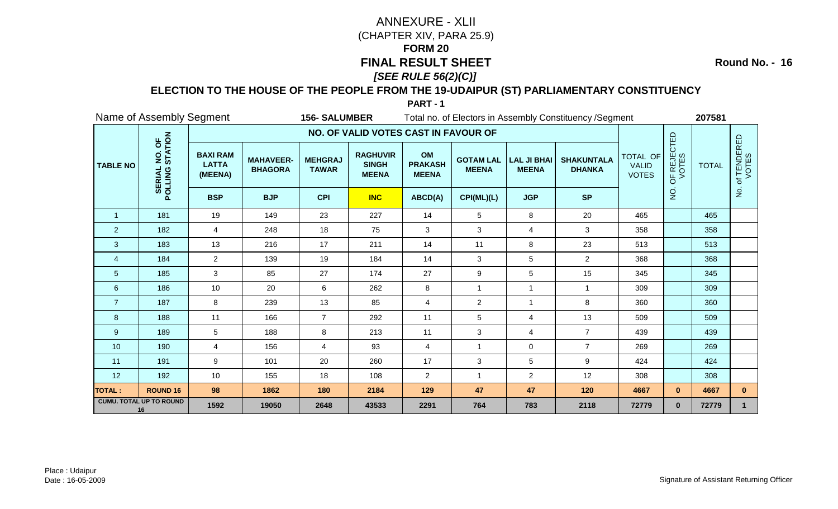**Round No. - 16**

### **ELECTION TO THE HOUSE OF THE PEOPLE FROM THE 19-UDAIPUR (ST) PARLIAMENTARY CONSTITUENCY**

|                 | Name of Assembly Segment<br><b>156-SALUMBER</b> |                                            |                                    |                                |                                                 |                                      |                                  | Total no. of Electors in Assembly Constituency / Segment |                                    |                                          | 207581               |              |                           |
|-----------------|-------------------------------------------------|--------------------------------------------|------------------------------------|--------------------------------|-------------------------------------------------|--------------------------------------|----------------------------------|----------------------------------------------------------|------------------------------------|------------------------------------------|----------------------|--------------|---------------------------|
|                 |                                                 |                                            |                                    |                                | NO. OF VALID VOTES CAST IN FAVOUR OF            |                                      |                                  |                                                          |                                    |                                          |                      |              |                           |
| <b>TABLE NO</b> | NO. OF<br>STATION<br><b>SERIAL</b><br>POLLING   | <b>BAXI RAM</b><br><b>LATTA</b><br>(MEENA) | <b>MAHAVEER-</b><br><b>BHAGORA</b> | <b>MEHGRAJ</b><br><b>TAWAR</b> | <b>RAGHUVIR</b><br><b>SINGH</b><br><b>MEENA</b> | OM<br><b>PRAKASH</b><br><b>MEENA</b> | <b>GOTAM LAL</b><br><b>MEENA</b> | <b>LAL JI BHAI</b><br><b>MEENA</b>                       | <b>SHAKUNTALA</b><br><b>DHANKA</b> | TOTAL OF<br><b>VALID</b><br><b>VOTES</b> | OF REJECTED<br>VOTES | <b>TOTAL</b> | f TENDERED<br>VOTES<br>'ত |
|                 |                                                 | <b>BSP</b>                                 | <b>BJP</b>                         | <b>CPI</b>                     | <b>INC</b>                                      | ABCD(A)                              | CPI(ML)(L)                       | <b>JGP</b>                                               | <b>SP</b>                          |                                          | $\rm \dot{Q}$        |              | $\mathsf{P}$              |
| $\overline{1}$  | 181                                             | 19                                         | 149                                | 23                             | 227                                             | 14                                   | 5                                | 8                                                        | 20                                 | 465                                      |                      | 465          |                           |
| 2               | 182                                             | 4                                          | 248                                | 18                             | 75                                              | 3                                    | 3                                | 4                                                        | 3                                  | 358                                      |                      | 358          |                           |
| 3               | 183                                             | 13                                         | 216                                | 17                             | 211                                             | 14                                   | 11                               | 8                                                        | 23                                 | 513                                      |                      | 513          |                           |
| $\overline{4}$  | 184                                             | $\overline{2}$                             | 139                                | 19                             | 184                                             | 14                                   | 3                                | 5                                                        | $\overline{2}$                     | 368                                      |                      | 368          |                           |
| 5               | 185                                             | 3                                          | 85                                 | 27                             | 174                                             | 27                                   | 9                                | 5                                                        | 15                                 | 345                                      |                      | 345          |                           |
| $\,6\,$         | 186                                             | 10                                         | 20                                 | 6                              | 262                                             | 8                                    | $\mathbf{1}$                     | $\mathbf{1}$                                             | $\overline{1}$                     | 309                                      |                      | 309          |                           |
| $\overline{7}$  | 187                                             | 8                                          | 239                                | 13                             | 85                                              | 4                                    | $\overline{c}$                   | 1                                                        | 8                                  | 360                                      |                      | 360          |                           |
| 8               | 188                                             | 11                                         | 166                                | $\overline{7}$                 | 292                                             | 11                                   | 5                                | 4                                                        | 13                                 | 509                                      |                      | 509          |                           |
| 9               | 189                                             | 5                                          | 188                                | 8                              | 213                                             | 11                                   | $\mathbf{3}$                     | 4                                                        | $\overline{7}$                     | 439                                      |                      | 439          |                           |
| 10              | 190                                             | 4                                          | 156                                | $\overline{4}$                 | 93                                              | $\overline{4}$                       | $\overline{1}$                   | 0                                                        | $\overline{7}$                     | 269                                      |                      | 269          |                           |
| 11              | 191                                             | 9                                          | 101                                | 20                             | 260                                             | 17                                   | $\mathfrak{S}$                   | 5                                                        | 9                                  | 424                                      |                      | 424          |                           |
| 12              | 192                                             | 10                                         | 155                                | 18                             | 108                                             | $\overline{c}$                       | $\mathbf{1}$                     | $\overline{a}$                                           | 12                                 | 308                                      |                      | 308          |                           |
| <b>TOTAL:</b>   | <b>ROUND 16</b>                                 | 98                                         | 1862                               | 180                            | 2184                                            | 129                                  | 47                               | 47                                                       | 120                                | 4667                                     | $\mathbf{0}$         | 4667         | $\mathbf{0}$              |
|                 | <b>CUMU. TOTAL UP TO ROUND</b><br>16            | 1592                                       | 19050                              | 2648                           | 43533                                           | 2291                                 | 764                              | 783                                                      | 2118                               | 72779                                    | $\mathbf{0}$         | 72779        |                           |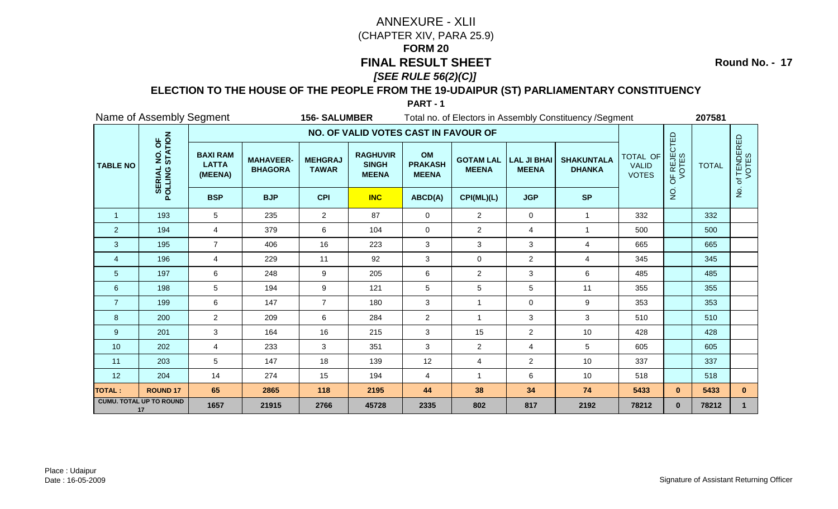**Round No. - 17**

### **ELECTION TO THE HOUSE OF THE PEOPLE FROM THE 19-UDAIPUR (ST) PARLIAMENTARY CONSTITUENCY**

|                 | Name of Assembly Segment<br><b>156-SALUMBER</b> |                                            |                                    |                                |                                                 |                                      |                                  | Total no. of Electors in Assembly Constituency / Segment |                                    |                                          | 207581               |              |                      |
|-----------------|-------------------------------------------------|--------------------------------------------|------------------------------------|--------------------------------|-------------------------------------------------|--------------------------------------|----------------------------------|----------------------------------------------------------|------------------------------------|------------------------------------------|----------------------|--------------|----------------------|
|                 |                                                 |                                            |                                    |                                | NO. OF VALID VOTES CAST IN FAVOUR OF            |                                      |                                  |                                                          |                                    |                                          |                      |              |                      |
| <b>TABLE NO</b> | NO. OF<br>STATION<br>POLLING                    | <b>BAXI RAM</b><br><b>LATTA</b><br>(MEENA) | <b>MAHAVEER-</b><br><b>BHAGORA</b> | <b>MEHGRAJ</b><br><b>TAWAR</b> | <b>RAGHUVIR</b><br><b>SINGH</b><br><b>MEENA</b> | OM<br><b>PRAKASH</b><br><b>MEENA</b> | <b>GOTAM LAL</b><br><b>MEENA</b> | <b>LAL JI BHAI</b><br><b>MEENA</b>                       | <b>SHAKUNTALA</b><br><b>DHANKA</b> | TOTAL OF<br><b>VALID</b><br><b>VOTES</b> | OF REJECTED<br>VOTES | <b>TOTAL</b> | of TENDERED<br>VOTES |
|                 |                                                 | <b>BSP</b>                                 | <b>BJP</b>                         | <b>CPI</b>                     | <b>INC</b>                                      | ABCD(A)                              | CPI(ML)(L)                       | <b>JGP</b>                                               | <b>SP</b>                          |                                          | o<br>Z               |              | $\frac{9}{2}$        |
| $\mathbf{1}$    | 193                                             | 5                                          | 235                                | $\overline{2}$                 | 87                                              | $\mathbf 0$                          | $\overline{2}$                   | $\mathbf 0$                                              | $\mathbf{1}$                       | 332                                      |                      | 332          |                      |
| $\overline{2}$  | 194                                             | $\overline{4}$                             | 379                                | 6                              | 104                                             | $\mathbf 0$                          | $\overline{2}$                   | 4                                                        | 1                                  | 500                                      |                      | 500          |                      |
| 3               | 195                                             | $\overline{7}$                             | 406                                | 16                             | 223                                             | 3                                    | 3                                | 3                                                        | $\overline{4}$                     | 665                                      |                      | 665          |                      |
| $\overline{4}$  | 196                                             | 4                                          | 229                                | 11                             | 92                                              | 3                                    | $\mathbf 0$                      | $\overline{2}$                                           | $\overline{4}$                     | 345                                      |                      | 345          |                      |
| $\overline{5}$  | 197                                             | 6                                          | 248                                | 9                              | 205                                             | 6                                    | $\overline{2}$                   | 3                                                        | 6                                  | 485                                      |                      | 485          |                      |
| $\,6\,$         | 198                                             | 5                                          | 194                                | 9                              | 121                                             | $\sqrt{5}$                           | $5\phantom{.0}$                  | 5                                                        | 11                                 | 355                                      |                      | 355          |                      |
| $\overline{7}$  | 199                                             | 6                                          | 147                                | $\overline{7}$                 | 180                                             | 3                                    | 1                                | $\mathbf 0$                                              | 9                                  | 353                                      |                      | 353          |                      |
| 8               | 200                                             | $\overline{2}$                             | 209                                | 6                              | 284                                             | $\overline{2}$                       | $\mathbf{1}$                     | 3                                                        | 3                                  | 510                                      |                      | 510          |                      |
| 9               | 201                                             | 3                                          | 164                                | 16                             | 215                                             | 3                                    | 15                               | $\overline{2}$                                           | 10                                 | 428                                      |                      | 428          |                      |
| 10              | 202                                             | $\overline{4}$                             | 233                                | 3                              | 351                                             | 3                                    | $\overline{2}$                   | 4                                                        | 5                                  | 605                                      |                      | 605          |                      |
| 11              | 203                                             | 5                                          | 147                                | 18                             | 139                                             | 12                                   | $\overline{4}$                   | $\overline{2}$                                           | 10                                 | 337                                      |                      | 337          |                      |
| 12              | 204                                             | 14                                         | 274                                | 15                             | 194                                             | 4                                    | $\mathbf{1}$                     | 6                                                        | 10                                 | 518                                      |                      | 518          |                      |
| <b>TOTAL:</b>   | <b>ROUND 17</b>                                 | 65                                         | 2865                               | 118                            | 2195                                            | 44                                   | 38                               | 34                                                       | 74                                 | 5433                                     | $\mathbf{0}$         | 5433         | $\mathbf{0}$         |
|                 | <b>CUMU. TOTAL UP TO ROUND</b><br>17            | 1657                                       | 21915                              | 2766                           | 45728                                           | 2335                                 | 802                              | 817                                                      | 2192                               | 78212                                    | $\mathbf{0}$         | 78212        |                      |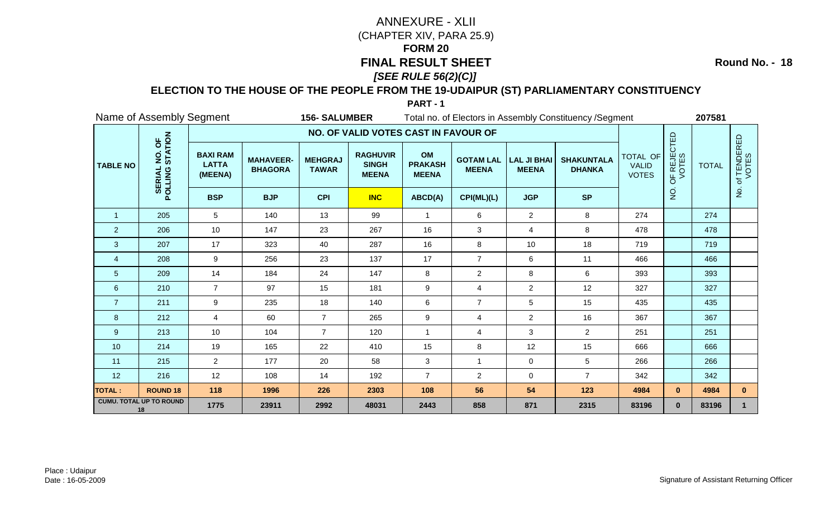**Round No. - 18**

### **ELECTION TO THE HOUSE OF THE PEOPLE FROM THE 19-UDAIPUR (ST) PARLIAMENTARY CONSTITUENCY**

|                 | Name of Assembly Segment<br><b>156-SALUMBER</b> |                                            |                                    |                                |                                                 |                                      |                                  | Total no. of Electors in Assembly Constituency / Segment |                                    |                                          | 207581               |              |                           |
|-----------------|-------------------------------------------------|--------------------------------------------|------------------------------------|--------------------------------|-------------------------------------------------|--------------------------------------|----------------------------------|----------------------------------------------------------|------------------------------------|------------------------------------------|----------------------|--------------|---------------------------|
|                 |                                                 |                                            |                                    |                                | NO. OF VALID VOTES CAST IN FAVOUR OF            |                                      |                                  |                                                          |                                    |                                          |                      |              |                           |
| <b>TABLE NO</b> | NO. OF<br>STATION<br>POLLING                    | <b>BAXI RAM</b><br><b>LATTA</b><br>(MEENA) | <b>MAHAVEER-</b><br><b>BHAGORA</b> | <b>MEHGRAJ</b><br><b>TAWAR</b> | <b>RAGHUVIR</b><br><b>SINGH</b><br><b>MEENA</b> | OM<br><b>PRAKASH</b><br><b>MEENA</b> | <b>GOTAM LAL</b><br><b>MEENA</b> | <b>LAL JI BHAI</b><br><b>MEENA</b>                       | <b>SHAKUNTALA</b><br><b>DHANKA</b> | TOTAL OF<br><b>VALID</b><br><b>VOTES</b> | OF REJECTED<br>VOTES | <b>TOTAL</b> | f TENDERED<br>VOTES<br>'ਠ |
|                 |                                                 | <b>BSP</b>                                 | <b>BJP</b>                         | <b>CPI</b>                     | <b>INC</b>                                      | ABCD(A)                              | CPI(ML)(L)                       | <b>JGP</b>                                               | <b>SP</b>                          |                                          | $\rm \dot{Q}$        |              | $\mathsf{P}$              |
| $\overline{1}$  | 205                                             | $5\overline{)}$                            | 140                                | 13                             | 99                                              | $\mathbf{1}$                         | 6                                | $\overline{2}$                                           | 8                                  | 274                                      |                      | 274          |                           |
| 2               | 206                                             | 10                                         | 147                                | 23                             | 267                                             | 16                                   | 3                                | 4                                                        | 8                                  | 478                                      |                      | 478          |                           |
| 3               | 207                                             | 17                                         | 323                                | 40                             | 287                                             | 16                                   | 8                                | 10                                                       | 18                                 | 719                                      |                      | 719          |                           |
| $\overline{4}$  | 208                                             | 9                                          | 256                                | 23                             | 137                                             | 17                                   | $\overline{7}$                   | 6                                                        | 11                                 | 466                                      |                      | 466          |                           |
| $\overline{5}$  | 209                                             | 14                                         | 184                                | 24                             | 147                                             | 8                                    | $\overline{c}$                   | 8                                                        | 6                                  | 393                                      |                      | 393          |                           |
| $\,6\,$         | 210                                             | $\overline{7}$                             | 97                                 | 15                             | 181                                             | $9\,$                                | $\overline{4}$                   | $\overline{2}$                                           | 12                                 | 327                                      |                      | 327          |                           |
| $\overline{7}$  | 211                                             | 9                                          | 235                                | 18                             | 140                                             | $\,6$                                | $\overline{7}$                   | 5                                                        | 15                                 | 435                                      |                      | 435          |                           |
| 8               | 212                                             | $\overline{4}$                             | 60                                 | $\overline{7}$                 | 265                                             | $\boldsymbol{9}$                     | 4                                | $\overline{2}$                                           | 16                                 | 367                                      |                      | 367          |                           |
| 9               | 213                                             | 10                                         | 104                                | $\overline{7}$                 | 120                                             | $\overline{1}$                       | 4                                | 3                                                        | $\overline{2}$                     | 251                                      |                      | 251          |                           |
| 10              | 214                                             | 19                                         | 165                                | 22                             | 410                                             | 15                                   | 8                                | 12                                                       | 15                                 | 666                                      |                      | 666          |                           |
| 11              | 215                                             | $\overline{2}$                             | 177                                | 20                             | 58                                              | $\mathfrak{S}$                       | $\mathbf{1}$                     | $\mathbf 0$                                              | 5                                  | 266                                      |                      | 266          |                           |
| 12              | 216                                             | 12                                         | 108                                | 14                             | 192                                             | $\overline{7}$                       | $\overline{c}$                   | 0                                                        | $\overline{7}$                     | 342                                      |                      | 342          |                           |
| <b>TOTAL:</b>   | <b>ROUND 18</b>                                 | 118                                        | 1996                               | 226                            | 2303                                            | 108                                  | 56                               | 54                                                       | 123                                | 4984                                     | $\mathbf{0}$         | 4984         | $\mathbf{0}$              |
|                 | <b>CUMU. TOTAL UP TO ROUND</b><br>18            | 1775                                       | 23911                              | 2992                           | 48031                                           | 2443                                 | 858                              | 871                                                      | 2315                               | 83196                                    | $\mathbf{0}$         | 83196        |                           |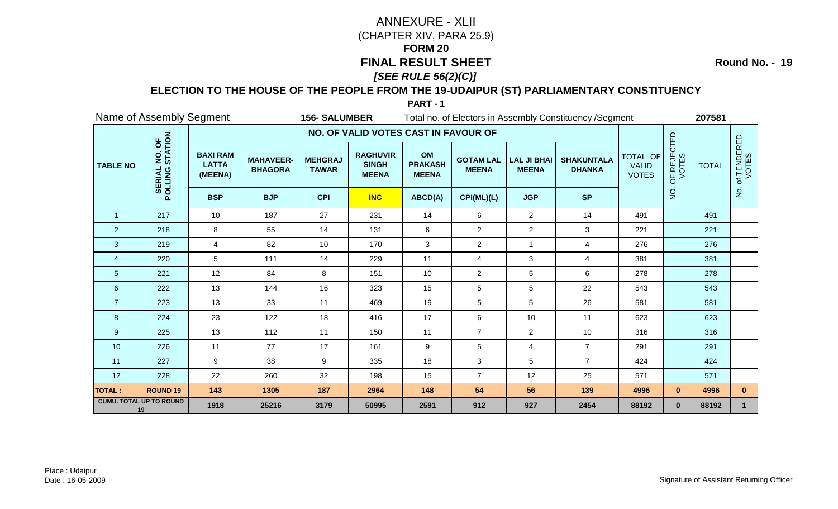**Round No. - 19**

### **ELECTION TO THE HOUSE OF THE PEOPLE FROM THE 19-UDAIPUR (ST) PARLIAMENTARY CONSTITUENCY**

|                 | Name of Assembly Segment<br><b>156- SALUMBER</b> |                                            |                                    |                                |                                                 | Total no. of Electors in Assembly Constituency / Segment |                                  |                                    |                                    |                                          |                      | 207581       |                      |  |
|-----------------|--------------------------------------------------|--------------------------------------------|------------------------------------|--------------------------------|-------------------------------------------------|----------------------------------------------------------|----------------------------------|------------------------------------|------------------------------------|------------------------------------------|----------------------|--------------|----------------------|--|
|                 |                                                  |                                            |                                    |                                | NO. OF VALID VOTES CAST IN FAVOUR OF            |                                                          |                                  |                                    |                                    |                                          |                      |              |                      |  |
| <b>TABLE NO</b> | NO. OF<br>STATION<br>POLLING                     | <b>BAXI RAM</b><br><b>LATTA</b><br>(MEENA) | <b>MAHAVEER-</b><br><b>BHAGORA</b> | <b>MEHGRAJ</b><br><b>TAWAR</b> | <b>RAGHUVIR</b><br><b>SINGH</b><br><b>MEENA</b> | OM<br><b>PRAKASH</b><br><b>MEENA</b>                     | <b>GOTAM LAL</b><br><b>MEENA</b> | <b>LAL JI BHAI</b><br><b>MEENA</b> | <b>SHAKUNTALA</b><br><b>DHANKA</b> | TOTAL OF<br><b>VALID</b><br><b>VOTES</b> | OF REJECTED<br>VOTES | <b>TOTAL</b> | of TENDERED<br>VOTES |  |
|                 |                                                  | <b>BSP</b>                                 | <b>BJP</b>                         | <b>CPI</b>                     | <b>INC</b>                                      | ABCD(A)                                                  | CPI(ML)(L)                       | <b>JGP</b>                         | <b>SP</b>                          |                                          | $\frac{1}{2}$        |              | $rac{1}{2}$          |  |
| $\overline{1}$  | 217                                              | 10                                         | 187                                | 27                             | 231                                             | 14                                                       | $6\phantom{1}$                   | $\overline{2}$                     | 14                                 | 491                                      |                      | 491          |                      |  |
| $\overline{2}$  | 218                                              | 8                                          | 55                                 | 14                             | 131                                             | 6                                                        | $\overline{c}$                   | $\overline{a}$                     | 3                                  | 221                                      |                      | 221          |                      |  |
| 3               | 219                                              | $\overline{4}$                             | 82                                 | 10                             | 170                                             | 3                                                        | $\overline{2}$                   | $\mathbf{1}$                       | $\overline{4}$                     | 276                                      |                      | 276          |                      |  |
| $\overline{4}$  | 220                                              | 5                                          | 111                                | 14                             | 229                                             | 11                                                       | $\overline{4}$                   | 3                                  | $\overline{4}$                     | 381                                      |                      | 381          |                      |  |
| 5               | 221                                              | 12                                         | 84                                 | 8                              | 151                                             | 10                                                       | $\overline{2}$                   | 5                                  | 6                                  | 278                                      |                      | 278          |                      |  |
| 6               | 222                                              | 13                                         | 144                                | 16                             | 323                                             | 15                                                       | 5                                | 5                                  | 22                                 | 543                                      |                      | 543          |                      |  |
| $\overline{7}$  | 223                                              | 13                                         | 33                                 | 11                             | 469                                             | 19                                                       | $\sqrt{5}$                       | 5                                  | 26                                 | 581                                      |                      | 581          |                      |  |
| 8               | 224                                              | 23                                         | 122                                | 18                             | 416                                             | 17                                                       | 6                                | 10                                 | 11                                 | 623                                      |                      | 623          |                      |  |
| 9               | 225                                              | 13                                         | 112                                | 11                             | 150                                             | 11                                                       | $\overline{7}$                   | $\overline{2}$                     | 10                                 | 316                                      |                      | 316          |                      |  |
| 10              | 226                                              | 11                                         | 77                                 | 17                             | 161                                             | 9                                                        | 5                                | 4                                  | $\overline{7}$                     | 291                                      |                      | 291          |                      |  |
| 11              | 227                                              | 9                                          | 38                                 | 9                              | 335                                             | 18                                                       | $\mathfrak{S}$                   | 5                                  | $\overline{7}$                     | 424                                      |                      | 424          |                      |  |
| 12              | 228                                              | 22                                         | 260                                | 32                             | 198                                             | 15                                                       | $\overline{7}$                   | 12                                 | 25                                 | 571                                      |                      | 571          |                      |  |
| <b>TOTAL:</b>   | <b>ROUND 19</b>                                  | 143                                        | 1305                               | 187                            | 2964                                            | 148                                                      | 54                               | 56                                 | 139                                | 4996                                     | $\mathbf{0}$         | 4996         | $\mathbf{0}$         |  |
|                 | <b>CUMU. TOTAL UP TO ROUND</b><br>19             | 1918                                       | 25216                              | 3179                           | 50995                                           | 2591                                                     | 912                              | 927                                | 2454                               | 88192                                    | $\mathbf{0}$         | 88192        | 1                    |  |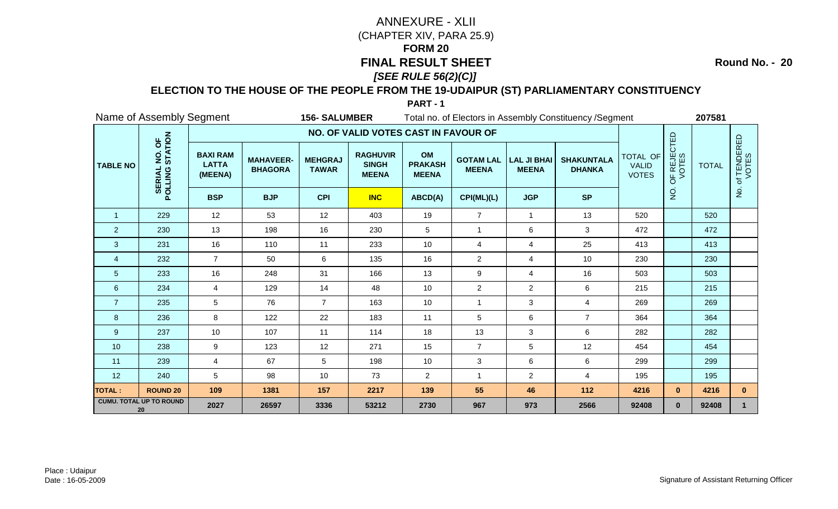**Round No. - 20**

### **ELECTION TO THE HOUSE OF THE PEOPLE FROM THE 19-UDAIPUR (ST) PARLIAMENTARY CONSTITUENCY**

|                 | Name of Assembly Segment<br><b>156- SALUMBER</b> |                                            |                                    |                                |                                                 |                                      | Total no. of Electors in Assembly Constituency / Segment |                                    |                                    |                                          |                      |              |                      |
|-----------------|--------------------------------------------------|--------------------------------------------|------------------------------------|--------------------------------|-------------------------------------------------|--------------------------------------|----------------------------------------------------------|------------------------------------|------------------------------------|------------------------------------------|----------------------|--------------|----------------------|
|                 |                                                  |                                            |                                    |                                | NO. OF VALID VOTES CAST IN FAVOUR OF            |                                      |                                                          |                                    |                                    |                                          |                      |              |                      |
| <b>TABLE NO</b> | NO. OF<br>STATION<br>POLLING                     | <b>BAXI RAM</b><br><b>LATTA</b><br>(MEENA) | <b>MAHAVEER-</b><br><b>BHAGORA</b> | <b>MEHGRAJ</b><br><b>TAWAR</b> | <b>RAGHUVIR</b><br><b>SINGH</b><br><b>MEENA</b> | OM<br><b>PRAKASH</b><br><b>MEENA</b> | <b>GOTAM LAL</b><br><b>MEENA</b>                         | <b>LAL JI BHAI</b><br><b>MEENA</b> | <b>SHAKUNTALA</b><br><b>DHANKA</b> | TOTAL OF<br><b>VALID</b><br><b>VOTES</b> | OF REJECTED<br>VOTES | <b>TOTAL</b> | of TENDERED<br>VOTES |
|                 |                                                  | <b>BSP</b>                                 | <b>BJP</b>                         | <b>CPI</b>                     | <b>INC</b>                                      | ABCD(A)                              | CPI(ML)(L)                                               | <b>JGP</b>                         | <b>SP</b>                          |                                          | $\frac{1}{2}$        |              | $\frac{9}{2}$        |
| $\overline{1}$  | 229                                              | 12                                         | 53                                 | 12                             | 403                                             | 19                                   | $\overline{7}$                                           | $\mathbf{1}$                       | 13                                 | 520                                      |                      | 520          |                      |
| $\overline{2}$  | 230                                              | 13                                         | 198                                | 16                             | 230                                             | 5                                    | $\mathbf{1}$                                             | 6                                  | 3                                  | 472                                      |                      | 472          |                      |
| 3               | 231                                              | 16                                         | 110                                | 11                             | 233                                             | 10                                   | $\overline{4}$                                           | 4                                  | 25                                 | 413                                      |                      | 413          |                      |
| $\overline{4}$  | 232                                              | $\overline{7}$                             | 50                                 | 6                              | 135                                             | 16                                   | $\overline{c}$                                           | 4                                  | $10$                               | 230                                      |                      | 230          |                      |
| $\overline{5}$  | 233                                              | 16                                         | 248                                | 31                             | 166                                             | 13                                   | 9                                                        | 4                                  | 16                                 | 503                                      |                      | 503          |                      |
| 6               | 234                                              | 4                                          | 129                                | 14                             | 48                                              | 10                                   | $\overline{c}$                                           | $\overline{a}$                     | 6                                  | 215                                      |                      | 215          |                      |
| $\overline{7}$  | 235                                              | 5                                          | 76                                 | $\overline{7}$                 | 163                                             | 10                                   | $\mathbf{1}$                                             | 3                                  | 4                                  | 269                                      |                      | 269          |                      |
| 8               | 236                                              | 8                                          | 122                                | 22                             | 183                                             | 11                                   | 5                                                        | 6                                  | $\overline{7}$                     | 364                                      |                      | 364          |                      |
| 9               | 237                                              | 10                                         | 107                                | 11                             | 114                                             | 18                                   | 13                                                       | 3                                  | 6                                  | 282                                      |                      | 282          |                      |
| 10              | 238                                              | 9                                          | 123                                | 12                             | 271                                             | 15                                   | $\overline{7}$                                           | 5                                  | 12                                 | 454                                      |                      | 454          |                      |
| 11              | 239                                              | 4                                          | 67                                 | 5                              | 198                                             | 10                                   | $\mathbf{3}$                                             | 6                                  | 6                                  | 299                                      |                      | 299          |                      |
| 12              | 240                                              | 5                                          | 98                                 | 10                             | 73                                              | $\overline{2}$                       | $\mathbf{1}$                                             | $\overline{2}$                     | $\overline{4}$                     | 195                                      |                      | 195          |                      |
| <b>TOTAL:</b>   | <b>ROUND 20</b>                                  | 109                                        | 1381                               | 157                            | 2217                                            | 139                                  | 55                                                       | 46                                 | 112                                | 4216                                     | $\mathbf{0}$         | 4216         | $\mathbf{0}$         |
|                 | <b>CUMU. TOTAL UP TO ROUND</b><br>20             | 2027                                       | 26597                              | 3336                           | 53212                                           | 2730                                 | 967                                                      | 973                                | 2566                               | 92408                                    | $\mathbf{0}$         | 92408        | $\mathbf 1$          |